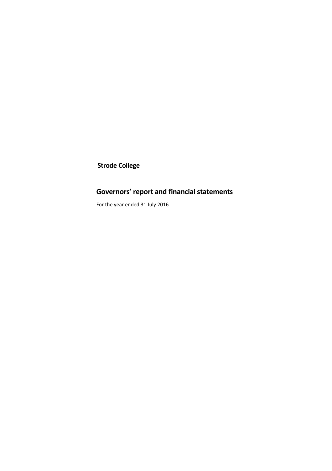Strode College

# Governors' report and financial statements

For the year ended 31 July 2016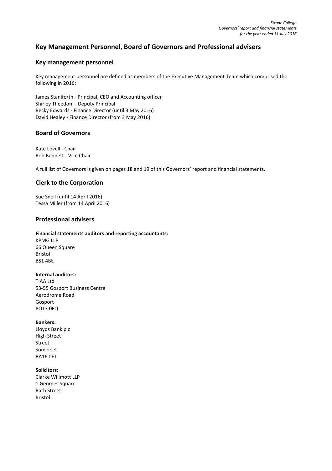## Key Management Personnel, Board of Governors and Professional advisers

## Key management personnel

Key management personnel are defined as members of the Executive Management Team which comprised the following in 2016:

James Staniforth - Principal, CEO and Accounting officer Shirley Theedom - Deputy Principal Becky Edwards - Finance Director (until 3 May 2016) David Healey - Finance Director (from 3 May 2016)

## Board of Governors

Kate Lovell - Chair Rob Bennett - Vice Chair

A full list of Governors is given on pages 18 and 19 of this Governors' report and financial statements.

## Clerk to the Corporation

Sue Snell (until 14 April 2016) Tessa Miller (from 14 April 2016)

## Professional advisers

### Financial statements auditors and reporting accountants: KPMG LLP 66 Queen Square Bristol BS1 4BE

Internal auditors: TIAA Ltd 53-55 Gosport Business Centre Aerodrome Road Gosport PO13 0FQ

Bankers: Lloyds Bank plc High Street Street Somerset BA16 0EJ

Solicitors: Clarke Willmott LLP 1 Georges Square Bath Street Bristol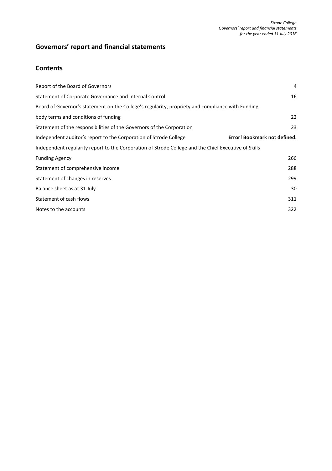# Governors' report and financial statements

## **Contents**

| Report of the Board of Governors                                                                     | 4                            |
|------------------------------------------------------------------------------------------------------|------------------------------|
| Statement of Corporate Governance and Internal Control                                               | 16                           |
| Board of Governor's statement on the College's regularity, propriety and compliance with Funding     |                              |
| body terms and conditions of funding                                                                 | 22                           |
| Statement of the responsibilities of the Governors of the Corporation                                | 23                           |
| Independent auditor's report to the Corporation of Strode College                                    | Error! Bookmark not defined. |
| Independent regularity report to the Corporation of Strode College and the Chief Executive of Skills |                              |
| <b>Funding Agency</b>                                                                                | 266                          |
| Statement of comprehensive income                                                                    | 288                          |
| Statement of changes in reserves                                                                     | 299                          |
| Balance sheet as at 31 July                                                                          | 30                           |
| Statement of cash flows                                                                              | 311                          |
| Notes to the accounts                                                                                | 322                          |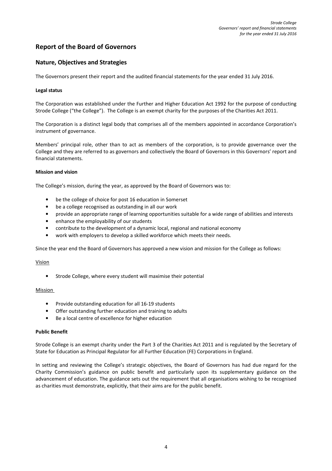# Report of the Board of Governors

## Nature, Objectives and Strategies

The Governors present their report and the audited financial statements for the year ended 31 July 2016.

### Legal status

The Corporation was established under the Further and Higher Education Act 1992 for the purpose of conducting Strode College ("the College"). The College is an exempt charity for the purposes of the Charities Act 2011.

The Corporation is a distinct legal body that comprises all of the members appointed in accordance Corporation's instrument of governance.

Members' principal role, other than to act as members of the corporation, is to provide governance over the College and they are referred to as governors and collectively the Board of Governors in this Governors' report and financial statements.

### Mission and vision

The College's mission, during the year, as approved by the Board of Governors was to:

- be the college of choice for post 16 education in Somerset
- be a college recognised as outstanding in all our work
- provide an appropriate range of learning opportunities suitable for a wide range of abilities and interests
- enhance the employability of our students
- contribute to the development of a dynamic local, regional and national economy
- work with employers to develop a skilled workforce which meets their needs.

Since the year end the Board of Governors has approved a new vision and mission for the College as follows:

### Vision

• Strode College, where every student will maximise their potential

### **Mission**

- Provide outstanding education for all 16-19 students
- Offer outstanding further education and training to adults
- Be a local centre of excellence for higher education

### Public Benefit

Strode College is an exempt charity under the Part 3 of the Charities Act 2011 and is regulated by the Secretary of State for Education as Principal Regulator for all Further Education (FE) Corporations in England.

In setting and reviewing the College's strategic objectives, the Board of Governors has had due regard for the Charity Commission's guidance on public benefit and particularly upon its supplementary guidance on the advancement of education. The guidance sets out the requirement that all organisations wishing to be recognised as charities must demonstrate, explicitly, that their aims are for the public benefit.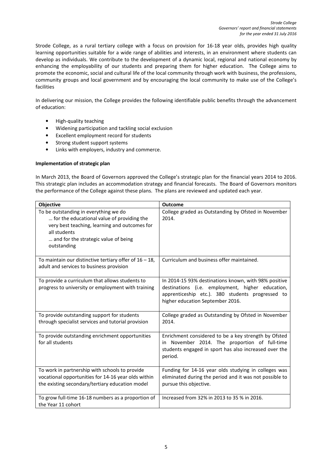Strode College, as a rural tertiary college with a focus on provision for 16-18 year olds, provides high quality learning opportunities suitable for a wide range of abilities and interests, in an environment where students can develop as individuals. We contribute to the development of a dynamic local, regional and national economy by enhancing the employability of our students and preparing them for higher education. The College aims to promote the economic, social and cultural life of the local community through work with business, the professions, community groups and local government and by encouraging the local community to make use of the College's facilities

In delivering our mission, the College provides the following identifiable public benefits through the advancement of education:

- High-quality teaching
- Widening participation and tackling social exclusion
- Excellent employment record for students
- Strong student support systems
- Links with employers, industry and commerce.

## Implementation of strategic plan

In March 2013, the Board of Governors approved the College's strategic plan for the financial years 2014 to 2016. This strategic plan includes an accommodation strategy and financial forecasts. The Board of Governors monitors the performance of the College against these plans. The plans are reviewed and updated each year.

| Objective                                                                                                                                                                                                   | <b>Outcome</b>                                                                                                                                                                                   |
|-------------------------------------------------------------------------------------------------------------------------------------------------------------------------------------------------------------|--------------------------------------------------------------------------------------------------------------------------------------------------------------------------------------------------|
| To be outstanding in everything we do<br>for the educational value of providing the<br>very best teaching, learning and outcomes for<br>all students<br>and for the strategic value of being<br>outstanding | College graded as Outstanding by Ofsted in November<br>2014.                                                                                                                                     |
| To maintain our distinctive tertiary offer of $16 - 18$ ,<br>adult and services to business provision                                                                                                       | Curriculum and business offer maintained.                                                                                                                                                        |
| To provide a curriculum that allows students to<br>progress to university or employment with training                                                                                                       | In 2014-15 93% destinations known, with 98% positive<br>destinations (i.e. employment, higher education,<br>apprenticeship etc.). 380 students progressed to<br>higher education September 2016. |
| To provide outstanding support for students<br>through specialist services and tutorial provision                                                                                                           | College graded as Outstanding by Ofsted in November<br>2014.                                                                                                                                     |
| To provide outstanding enrichment opportunities<br>for all students                                                                                                                                         | Enrichment considered to be a key strength by Ofsted<br>in November 2014. The proportion of full-time<br>students engaged in sport has also increased over the<br>period.                        |
| To work in partnership with schools to provide<br>vocational opportunities for 14-16 year olds within<br>the existing secondary/tertiary education model                                                    | Funding for 14-16 year olds studying in colleges was<br>eliminated during the period and it was not possible to<br>pursue this objective.                                                        |
| To grow full-time 16-18 numbers as a proportion of<br>the Year 11 cohort                                                                                                                                    | Increased from 32% in 2013 to 35 % in 2016.                                                                                                                                                      |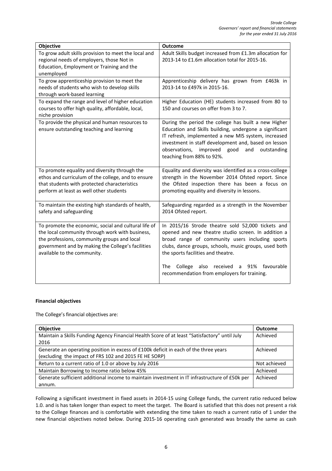| Objective                                                                                                                                                                                                                                  | <b>Outcome</b>                                                                                                                                                                                                                                                                                                                                                            |
|--------------------------------------------------------------------------------------------------------------------------------------------------------------------------------------------------------------------------------------------|---------------------------------------------------------------------------------------------------------------------------------------------------------------------------------------------------------------------------------------------------------------------------------------------------------------------------------------------------------------------------|
| To grow adult skills provision to meet the local and                                                                                                                                                                                       | Adult Skills budget increased from £1.3m allocation for                                                                                                                                                                                                                                                                                                                   |
| regional needs of employers, those Not in<br>Education, Employment or Training and the                                                                                                                                                     | 2013-14 to £1.6m allocation total for 2015-16.                                                                                                                                                                                                                                                                                                                            |
| unemployed                                                                                                                                                                                                                                 |                                                                                                                                                                                                                                                                                                                                                                           |
| To grow apprenticeship provision to meet the<br>needs of students who wish to develop skills                                                                                                                                               | Apprenticeship delivery has grown from £463k in<br>2013-14 to £497k in 2015-16.                                                                                                                                                                                                                                                                                           |
| through work-based learning                                                                                                                                                                                                                |                                                                                                                                                                                                                                                                                                                                                                           |
| To expand the range and level of higher education<br>courses to offer high quality, affordable, local,<br>niche provision                                                                                                                  | Higher Education (HE) students increased from 80 to<br>150 and courses on offer from 3 to 7.                                                                                                                                                                                                                                                                              |
| To provide the physical and human resources to<br>ensure outstanding teaching and learning                                                                                                                                                 | During the period the college has built a new Higher<br>Education and Skills building, undergone a significant<br>IT refresh, implemented a new MIS system, increased<br>investment in staff development and, based on lesson<br>observations,<br>improved good<br>and<br>outstanding<br>teaching from 88% to 92%.                                                        |
| To promote equality and diversity through the<br>ethos and curriculum of the college, and to ensure<br>that students with protected characteristics<br>perform at least as well other students                                             | Equality and diversity was identified as a cross-college<br>strength in the November 2014 Ofsted report. Since<br>the Ofsted inspection there has been a focus on<br>promoting equality and diversity in lessons.                                                                                                                                                         |
| To maintain the existing high standards of health,<br>safety and safeguarding                                                                                                                                                              | Safeguarding regarded as a strength in the November<br>2014 Ofsted report.                                                                                                                                                                                                                                                                                                |
| To promote the economic, social and cultural life of<br>the local community through work with business,<br>the professions, community groups and local<br>government and by making the College's facilities<br>available to the community. | In 2015/16 Strode theatre sold 52,000 tickets and<br>opened and new theatre studio screen. In addition a<br>broad range of community users including sports<br>clubs, dance groups, schools, music groups, used both<br>the sports facilities and theatre.<br>favourable<br>College<br>also<br>received<br>91%<br>The<br>a<br>recommendation from employers for training. |

## Financial objectives

The College's financial objectives are:

| <b>Objective</b>                                                                              | <b>Outcome</b> |
|-----------------------------------------------------------------------------------------------|----------------|
| Maintain a Skills Funding Agency Financial Health Score of at least "Satisfactory" until July | Achieved       |
| 2016                                                                                          |                |
| Generate an operating position in excess of £100k deficit in each of the three years          | Achieved       |
| (excluding the impact of FRS 102 and 2015 FE HE SORP)                                         |                |
| Return to a current ratio of 1.0 or above by July 2016                                        | Not achieved   |
| Maintain Borrowing to Income ratio below 45%                                                  | Achieved       |
| Generate sufficient additional income to maintain investment in IT infrastructure of £50k per | Achieved       |
| annum.                                                                                        |                |

Following a significant investment in fixed assets in 2014-15 using College funds, the current ratio reduced below 1.0. and is has taken longer than expect to meet the target. The Board is satisfied that this does not present a risk to the College finances and is comfortable with extending the time taken to reach a current ratio of 1 under the new financial objectives noted below. During 2015-16 operating cash generated was broadly the same as cash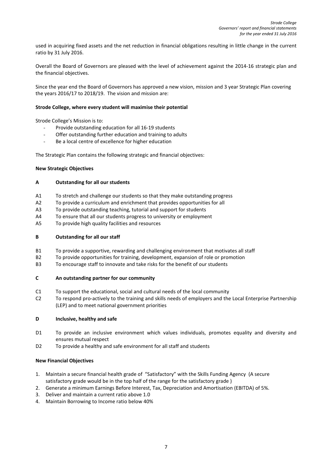used in acquiring fixed assets and the net reduction in financial obligations resulting in little change in the current ratio by 31 July 2016.

Overall the Board of Governors are pleased with the level of achievement against the 2014-16 strategic plan and the financial objectives.

Since the year end the Board of Governors has approved a new vision, mission and 3 year Strategic Plan covering the years 2016/17 to 2018/19. The vision and mission are:

### Strode College, where every student will maximise their potential

Strode College's Mission is to:

- Provide outstanding education for all 16-19 students
- Offer outstanding further education and training to adults
- Be a local centre of excellence for higher education

The Strategic Plan contains the following strategic and financial objectives:

## New Strategic Objectives

## A Outstanding for all our students

- A1 To stretch and challenge our students so that they make outstanding progress
- A2 To provide a curriculum and enrichment that provides opportunities for all
- A3 To provide outstanding teaching, tutorial and support for students
- A4 To ensure that all our students progress to university or employment
- A5 To provide high quality facilities and resources

### B Outstanding for all our staff

- B1 To provide a supportive, rewarding and challenging environment that motivates all staff
- B2 To provide opportunities for training, development, expansion of role or promotion
- B3 To encourage staff to innovate and take risks for the benefit of our students

### C An outstanding partner for our community

- C1 To support the educational, social and cultural needs of the local community
- C2 To respond pro-actively to the training and skills needs of employers and the Local Enterprise Partnership (LEP) and to meet national government priorities

### D Inclusive, healthy and safe

- D1 To provide an inclusive environment which values individuals, promotes equality and diversity and ensures mutual respect
- D2 To provide a healthy and safe environment for all staff and students

### New Financial Objectives

- 1. Maintain a secure financial health grade of "Satisfactory" with the Skills Funding Agency (A secure satisfactory grade would be in the top half of the range for the satisfactory grade )
- 2. Generate a minimum Earnings Before Interest, Tax, Depreciation and Amortisation (EBITDA) of 5%.
- 3. Deliver and maintain a current ratio above 1.0
- 4. Maintain Borrowing to Income ratio below 40%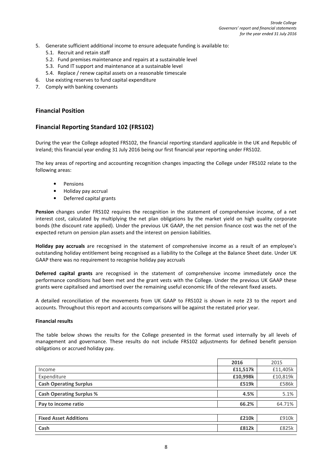- 5. Generate sufficient additional income to ensure adequate funding is available to:
	- 5.1. Recruit and retain staff
	- 5.2. Fund premises maintenance and repairs at a sustainable level
	- 5.3. Fund IT support and maintenance at a sustainable level
	- 5.4. Replace / renew capital assets on a reasonable timescale
- 6. Use existing reserves to fund capital expenditure
- 7. Comply with banking covenants

## Financial Position

## Financial Reporting Standard 102 (FRS102)

During the year the College adopted FRS102, the financial reporting standard applicable in the UK and Republic of Ireland; this financial year ending 31 July 2016 being our first financial year reporting under FRS102.

The key areas of reporting and accounting recognition changes impacting the College under FRS102 relate to the following areas:

- **Pensions**
- Holiday pay accrual
- Deferred capital grants

Pension changes under FRS102 requires the recognition in the statement of comprehensive income, of a net interest cost, calculated by multiplying the net plan obligations by the market yield on high quality corporate bonds (the discount rate applied). Under the previous UK GAAP, the net pension finance cost was the net of the expected return on pension plan assets and the interest on pension liabilities.

Holiday pay accruals are recognised in the statement of comprehensive income as a result of an employee's outstanding holiday entitlement being recognised as a liability to the College at the Balance Sheet date. Under UK GAAP there was no requirement to recognise holiday pay accruals

Deferred capital grants are recognised in the statement of comprehensive income immediately once the performance conditions had been met and the grant vests with the College. Under the previous UK GAAP these grants were capitalised and amortised over the remaining useful economic life of the relevant fixed assets.

A detailed reconciliation of the movements from UK GAAP to FRS102 is shown in note 23 to the report and accounts. Throughout this report and accounts comparisons will be against the restated prior year.

### Financial results

The table below shows the results for the College presented in the format used internally by all levels of management and governance. These results do not include FRS102 adjustments for defined benefit pension obligations or accrued holiday pay.

|                                 | 2016     | 2015     |
|---------------------------------|----------|----------|
| Income                          | £11,517k | £11,405k |
| Expenditure                     | £10,998k | £10,819k |
| <b>Cash Operating Surplus</b>   | £519k    | £586k    |
| <b>Cash Operating Surplus %</b> | 4.5%     | 5.1%     |
| Pay to income ratio             | 66.2%    | 64.71%   |
|                                 |          |          |
| <b>Fixed Asset Additions</b>    | £210k    | £910k    |
| Cash                            | £812k    | £825k    |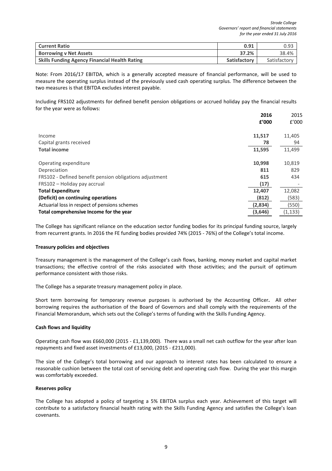| <b>Current Ratio</b>                                 | 0.91         | 0.93         |
|------------------------------------------------------|--------------|--------------|
| <b>Borrowing v Net Assets</b>                        | 37.2%        | 38.4%        |
| <b>Skills Funding Agency Financial Health Rating</b> | Satisfactory | Satisfactory |

Note: From 2016/17 EBITDA, which is a generally accepted measure of financial performance, will be used to measure the operating surplus instead of the previously used cash operating surplus. The difference between the two measures is that EBITDA excludes interest payable.

Including FRS102 adjustments for defined benefit pension obligations or accrued holiday pay the financial results for the year were as follows:

|                                                         | 2016    | 2015     |
|---------------------------------------------------------|---------|----------|
|                                                         | £'000   | f'000    |
| Income                                                  | 11,517  | 11,405   |
| Capital grants received                                 | 78      | 94       |
| <b>Total income</b>                                     | 11,595  | 11,499   |
| Operating expenditure                                   | 10,998  | 10,819   |
| Depreciation                                            | 811     | 829      |
| FRS102 - Defined benefit pension obligations adjustment | 615     | 434      |
| FRS102 - Holiday pay accrual                            | (17)    |          |
| <b>Total Expenditure</b>                                | 12,407  | 12,082   |
| (Deficit) on continuing operations                      | (812)   | (583)    |
| Actuarial loss in respect of pensions schemes           | (2,834) | (550)    |
| Total comprehensive Income for the year                 | (3,646) | (1, 133) |

The College has significant reliance on the education sector funding bodies for its principal funding source, largely from recurrent grants. In 2016 the FE funding bodies provided 74% (2015 - 76%) of the College's total income.

### Treasury policies and objectives

Treasury management is the management of the College's cash flows, banking, money market and capital market transactions; the effective control of the risks associated with those activities; and the pursuit of optimum performance consistent with those risks.

The College has a separate treasury management policy in place.

Short term borrowing for temporary revenue purposes is authorised by the Accounting Officer. All other borrowing requires the authorisation of the Board of Governors and shall comply with the requirements of the Financial Memorandum, which sets out the College's terms of funding with the Skills Funding Agency.

### Cash flows and liquidity

Operating cash flow was £660,000 (2015 - £1,139,000). There was a small net cash outflow for the year after loan repayments and fixed asset investments of £13,000, (2015 - £211,000).

The size of the College's total borrowing and our approach to interest rates has been calculated to ensure a reasonable cushion between the total cost of servicing debt and operating cash flow. During the year this margin was comfortably exceeded.

### Reserves policy

The College has adopted a policy of targeting a 5% EBITDA surplus each year. Achievement of this target will contribute to a satisfactory financial health rating with the Skills Funding Agency and satisfies the College's loan covenants.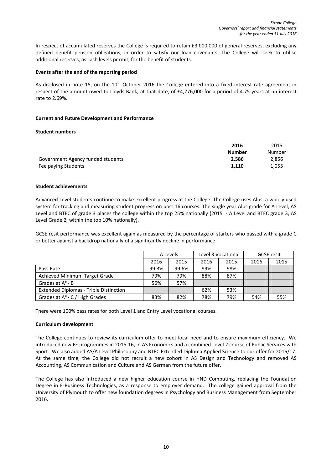In respect of accumulated reserves the College is required to retain £3,000,000 of general reserves, excluding any defined benefit pension obligations, in order to satisfy our loan covenants. The College will seek to utilise additional reserves, as cash levels permit, for the benefit of students.

### Events after the end of the reporting period

As disclosed in note 15, on the 10<sup>th</sup> October 2016 the College entered into a fixed interest rate agreement in respect of the amount owed to Lloyds Bank, at that date, of £4,276,000 for a period of 4.75 years at an interest rate to 2.69%.

### Current and Future Development and Performance

### Student numbers

|                                   | 2016   | 2015   |
|-----------------------------------|--------|--------|
|                                   | Number | Number |
| Government Agency funded students | 2.586  | 2.856  |
| Fee paying Students               | 1.110  | 1,055  |

### Student achievements

Advanced Level students continue to make excellent progress at the College. The College uses Alps, a widely used system for tracking and measuring student progress on post 16 courses. The single year Alps grade for A Level, AS Level and BTEC of grade 3 places the college within the top 25% nationally (2015 - A Level and BTEC grade 3, AS Level Grade 2, within the top 10% nationally).

GCSE resit performance was excellent again as measured by the percentage of starters who passed with a grade C or better against a backdrop nationally of a significantly decline in performance.

|                                               | A Levels |       | Level 3 Vocational |      | <b>GCSE</b> resit |      |
|-----------------------------------------------|----------|-------|--------------------|------|-------------------|------|
|                                               | 2016     | 2015  | 2016               | 2015 | 2016              | 2015 |
| Pass Rate                                     | 99.3%    | 99.6% | 99%                | 98%  |                   |      |
| Achieved Minimum Target Grade                 | 79%      | 79%   | 88%                | 87%  |                   |      |
| Grades at A*-B                                | 56%      | 57%   |                    |      |                   |      |
| <b>Extended Diplomas - Triple Distinction</b> |          |       | 62%                | 53%  |                   |      |
| Grades at A*- C / High Grades                 | 83%      | 82%   | 78%                | 79%  | 54%               | 55%  |

There were 100% pass rates for both Level 1 and Entry Level vocational courses.

### Curriculum development

The College continues to review its curriculum offer to meet local need and to ensure maximum efficiency. We introduced new FE programmes in 2015-16, in AS Economics and a combined Level 2 course of Public Services with Sport. We also added AS/A Level Philosophy and BTEC Extended Diploma Applied Science to our offer for 2016/17. At the same time, the College did not recruit a new cohort in AS Design and Technology and removed AS Accounting, AS Communication and Culture and AS German from the future offer.

The College has also introduced a new higher education course in HND Computing, replacing the Foundation Degree in E-Business Technologies, as a response to employer demand. The college gained approval from the University of Plymouth to offer new foundation degrees in Psychology and Business Management from September 2016.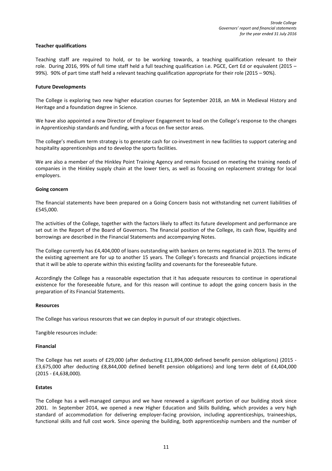### Teacher qualifications

Teaching staff are required to hold, or to be working towards, a teaching qualification relevant to their role. During 2016, 99% of full time staff held a full teaching qualification i.e. PGCE, Cert Ed or equivalent (2015 – 99%). 90% of part time staff held a relevant teaching qualification appropriate for their role (2015 – 90%).

### Future Developments

The College is exploring two new higher education courses for September 2018, an MA in Medieval History and Heritage and a foundation degree in Science.

We have also appointed a new Director of Employer Engagement to lead on the College's response to the changes in Apprenticeship standards and funding, with a focus on five sector areas.

The college's medium term strategy is to generate cash for co-investment in new facilities to support catering and hospitality apprenticeships and to develop the sports facilities.

We are also a member of the Hinkley Point Training Agency and remain focused on meeting the training needs of companies in the Hinkley supply chain at the lower tiers, as well as focusing on replacement strategy for local employers.

### Going concern

The financial statements have been prepared on a Going Concern basis not withstanding net current liabilities of £545,000.

The activities of the College, together with the factors likely to affect its future development and performance are set out in the Report of the Board of Governors. The financial position of the College, its cash flow, liquidity and borrowings are described in the Financial Statements and accompanying Notes.

The College currently has £4,404,000 of loans outstanding with bankers on terms negotiated in 2013. The terms of the existing agreement are for up to another 15 years. The College's forecasts and financial projections indicate that it will be able to operate within this existing facility and covenants for the foreseeable future.

Accordingly the College has a reasonable expectation that it has adequate resources to continue in operational existence for the foreseeable future, and for this reason will continue to adopt the going concern basis in the preparation of its Financial Statements.

### Resources

The College has various resources that we can deploy in pursuit of our strategic objectives.

Tangible resources include:

### Financial

The College has net assets of £29,000 (after deducting £11,894,000 defined benefit pension obligations) (2015 - £3,675,000 after deducting £8,844,000 defined benefit pension obligations) and long term debt of £4,404,000 (2015 - £4,638,000).

### Estates

The College has a well-managed campus and we have renewed a significant portion of our building stock since 2001. In September 2014, we opened a new Higher Education and Skills Building, which provides a very high standard of accommodation for delivering employer-facing provision, including apprenticeships, traineeships, functional skills and full cost work. Since opening the building, both apprenticeship numbers and the number of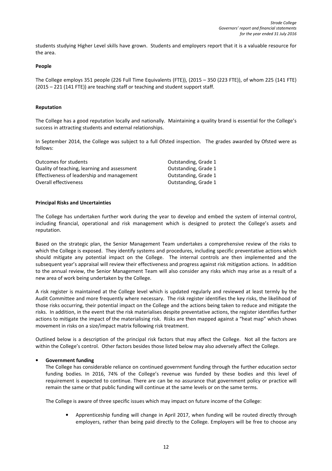students studying Higher Level skills have grown. Students and employers report that it is a valuable resource for the area.

### People

The College employs 351 people (226 Full Time Equivalents (FTE)), (2015 – 350 (223 FTE)), of whom 225 (141 FTE) (2015 – 221 (141 FTE)) are teaching staff or teaching and student support staff.

### Reputation

The College has a good reputation locally and nationally. Maintaining a quality brand is essential for the College's success in attracting students and external relationships.

In September 2014, the College was subject to a full Ofsted inspection. The grades awarded by Ofsted were as follows:

| Outcomes for students                        | Outstanding, Grade 1 |
|----------------------------------------------|----------------------|
| Quality of teaching, learning and assessment | Outstanding, Grade 1 |
| Effectiveness of leadership and management   | Outstanding, Grade 1 |
| Overall effectiveness                        | Outstanding, Grade 1 |

### Principal Risks and Uncertainties

The College has undertaken further work during the year to develop and embed the system of internal control, including financial, operational and risk management which is designed to protect the College's assets and reputation.

Based on the strategic plan, the Senior Management Team undertakes a comprehensive review of the risks to which the College is exposed. They identify systems and procedures, including specific preventative actions which should mitigate any potential impact on the College. The internal controls are then implemented and the subsequent year's appraisal will review their effectiveness and progress against risk mitigation actions. In addition to the annual review, the Senior Management Team will also consider any risks which may arise as a result of a new area of work being undertaken by the College.

A risk register is maintained at the College level which is updated regularly and reviewed at least termly by the Audit Committee and more frequently where necessary. The risk register identifies the key risks, the likelihood of those risks occurring, their potential impact on the College and the actions being taken to reduce and mitigate the risks. In addition, in the event that the risk materialises despite preventative actions, the register identifies further actions to mitigate the impact of the materialising risk. Risks are then mapped against a "heat map" which shows movement in risks on a size/impact matrix following risk treatment.

Outlined below is a description of the principal risk factors that may affect the College. Not all the factors are within the College's control. Other factors besides those listed below may also adversely affect the College.

## • Government funding

The College has considerable reliance on continued government funding through the further education sector funding bodies. In 2016, 74% of the College's revenue was funded by these bodies and this level of requirement is expected to continue. There are can be no assurance that government policy or practice will remain the same or that public funding will continue at the same levels or on the same terms.

The College is aware of three specific issues which may impact on future income of the College:

• Apprenticeship funding will change in April 2017, when funding will be routed directly through employers, rather than being paid directly to the College. Employers will be free to choose any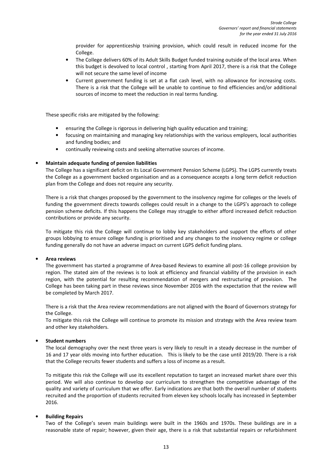provider for apprenticeship training provision, which could result in reduced income for the College.

- The College delivers 60% of its Adult Skills Budget funded training outside of the local area. When this budget is devolved to local control , starting from April 2017, there is a risk that the College will not secure the same level of income
- Current government funding is set at a flat cash level, with no allowance for increasing costs. There is a risk that the College will be unable to continue to find efficiencies and/or additional sources of income to meet the reduction in real terms funding.

These specific risks are mitigated by the following:

- ensuring the College is rigorous in delivering high quality education and training;
- focusing on maintaining and managing key relationships with the various employers, local authorities and funding bodies; and
- continually reviewing costs and seeking alternative sources of income.

### • Maintain adequate funding of pension liabilities

The College has a significant deficit on its Local Government Pension Scheme (LGPS). The LGPS currently treats the College as a government backed organisation and as a consequence accepts a long term deficit reduction plan from the College and does not require any security.

There is a risk that changes proposed by the government to the insolvency regime for colleges or the levels of funding the government directs towards colleges could result in a change to the LGPS's approach to college pension scheme deficits. If this happens the College may struggle to either afford increased deficit reduction contributions or provide any security.

To mitigate this risk the College will continue to lobby key stakeholders and support the efforts of other groups lobbying to ensure college funding is prioritised and any changes to the insolvency regime or college funding generally do not have an adverse impact on current LGPS deficit funding plans.

### • Area reviews

The government has started a programme of Area-based Reviews to examine all post-16 college provision by region. The stated aim of the reviews is to look at efficiency and financial viability of the provision in each region, with the potential for resulting recommendation of mergers and restructuring of provision. The College has been taking part in these reviews since November 2016 with the expectation that the review will be completed by March 2017.

There is a risk that the Area review recommendations are not aligned with the Board of Governors strategy for the College.

To mitigate this risk the College will continue to promote its mission and strategy with the Area review team and other key stakeholders.

### • Student numbers

The local demography over the next three years is very likely to result in a steady decrease in the number of 16 and 17 year olds moving into further education. This is likely to be the case until 2019/20. There is a risk that the College recruits fewer students and suffers a loss of income as a result.

To mitigate this risk the College will use its excellent reputation to target an increased market share over this period. We will also continue to develop our curriculum to strengthen the competitive advantage of the quality and variety of curriculum that we offer. Early indications are that both the overall number of students recruited and the proportion of students recruited from eleven key schools locally has increased in September 2016.

### • Building Repairs

Two of the College's seven main buildings were built in the 1960s and 1970s. These buildings are in a reasonable state of repair; however, given their age, there is a risk that substantial repairs or refurbishment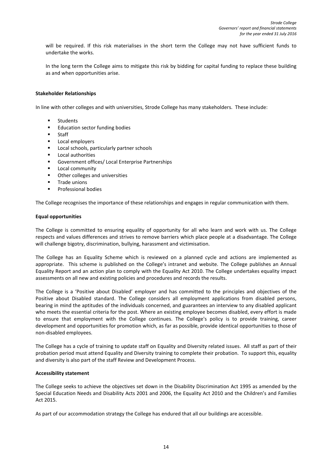will be required. If this risk materialises in the short term the College may not have sufficient funds to undertake the works.

In the long term the College aims to mitigate this risk by bidding for capital funding to replace these building as and when opportunities arise.

### Stakeholder Relationships

In line with other colleges and with universities, Strode College has many stakeholders. These include:

- Students
- Education sector funding bodies
- Staff
- Local employers
- Local schools, particularly partner schools
- Local authorities
- Government offices/ Local Enterprise Partnerships
- **Local community**
- **•** Other colleges and universities
- Trade unions
- **Professional bodies**

The College recognises the importance of these relationships and engages in regular communication with them.

### Equal opportunities

The College is committed to ensuring equality of opportunity for all who learn and work with us. The College respects and values differences and strives to remove barriers which place people at a disadvantage. The College will challenge bigotry, discrimination, bullying, harassment and victimisation.

The College has an Equality Scheme which is reviewed on a planned cycle and actions are implemented as appropriate. This scheme is published on the College's intranet and website. The College publishes an Annual Equality Report and an action plan to comply with the Equality Act 2010. The College undertakes equality impact assessments on all new and existing policies and procedures and records the results.

The College is a 'Positive about Disabled' employer and has committed to the principles and objectives of the Positive about Disabled standard. The College considers all employment applications from disabled persons, bearing in mind the aptitudes of the individuals concerned, and guarantees an interview to any disabled applicant who meets the essential criteria for the post. Where an existing employee becomes disabled, every effort is made to ensure that employment with the College continues. The College's policy is to provide training, career development and opportunities for promotion which, as far as possible, provide identical opportunities to those of non-disabled employees.

The College has a cycle of training to update staff on Equality and Diversity related issues. All staff as part of their probation period must attend Equality and Diversity training to complete their probation. To support this, equality and diversity is also part of the staff Review and Development Process.

### Accessibility statement

The College seeks to achieve the objectives set down in the Disability Discrimination Act 1995 as amended by the Special Education Needs and Disability Acts 2001 and 2006, the Equality Act 2010 and the Children's and Families Act 2015.

As part of our accommodation strategy the College has endured that all our buildings are accessible.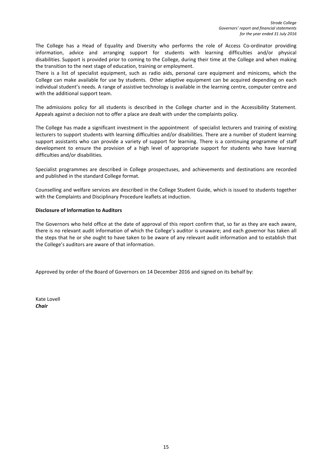The College has a Head of Equality and Diversity who performs the role of Access Co-ordinator providing information, advice and arranging support for students with learning difficulties and/or physical disabilities. Support is provided prior to coming to the College, during their time at the College and when making the transition to the next stage of education, training or employment.

There is a list of specialist equipment, such as radio aids, personal care equipment and minicoms, which the College can make available for use by students. Other adaptive equipment can be acquired depending on each individual student's needs. A range of assistive technology is available in the learning centre, computer centre and with the additional support team.

The admissions policy for all students is described in the College charter and in the Accessibility Statement. Appeals against a decision not to offer a place are dealt with under the complaints policy.

The College has made a significant investment in the appointment of specialist lecturers and training of existing lecturers to support students with learning difficulties and/or disabilities. There are a number of student learning support assistants who can provide a variety of support for learning. There is a continuing programme of staff development to ensure the provision of a high level of appropriate support for students who have learning difficulties and/or disabilities.

Specialist programmes are described in College prospectuses, and achievements and destinations are recorded and published in the standard College format.

Counselling and welfare services are described in the College Student Guide, which is issued to students together with the Complaints and Disciplinary Procedure leaflets at induction.

## Disclosure of Information to Auditors

The Governors who held office at the date of approval of this report confirm that, so far as they are each aware, there is no relevant audit information of which the College's auditor is unaware; and each governor has taken all the steps that he or she ought to have taken to be aware of any relevant audit information and to establish that the College's auditors are aware of that information.

Approved by order of the Board of Governors on 14 December 2016 and signed on its behalf by:

Kate Lovell **Chair**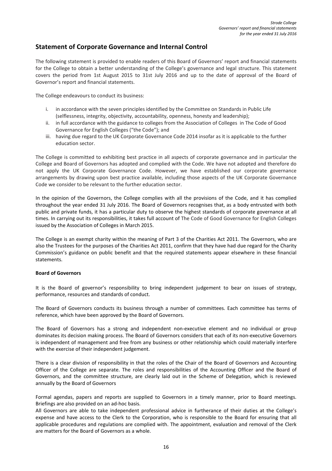## Statement of Corporate Governance and Internal Control

The following statement is provided to enable readers of this Board of Governors' report and financial statements for the College to obtain a better understanding of the College's governance and legal structure. This statement covers the period from 1st August 2015 to 31st July 2016 and up to the date of approval of the Board of Governor's report and financial statements.

The College endeavours to conduct its business:

- i. in accordance with the seven principles identified by the Committee on Standards in Public Life (selflessness, integrity, objectivity, accountability, openness, honesty and leadership);
- ii. in full accordance with the guidance to colleges from the Association of Colleges in The Code of Good Governance for English Colleges ("the Code"); and
- iii. having due regard to the UK Corporate Governance Code 2014 insofar as it is applicable to the further education sector.

The College is committed to exhibiting best practice in all aspects of corporate governance and in particular the College and Board of Governors has adopted and complied with the Code. We have not adopted and therefore do not apply the UK Corporate Governance Code. However, we have established our corporate governance arrangements by drawing upon best practice available, including those aspects of the UK Corporate Governance Code we consider to be relevant to the further education sector.

In the opinion of the Governors, the College complies with all the provisions of the Code, and it has complied throughout the year ended 31 July 2016. The Board of Governors recognises that, as a body entrusted with both public and private funds, it has a particular duty to observe the highest standards of corporate governance at all times. In carrying out its responsibilities, it takes full account of The Code of Good Governance for English Colleges issued by the Association of Colleges in March 2015.

The College is an exempt charity within the meaning of Part 3 of the Charities Act 2011. The Governors, who are also the Trustees for the purposes of the Charities Act 2011, confirm that they have had due regard for the Charity Commission's guidance on public benefit and that the required statements appear elsewhere in these financial statements.

## Board of Governors

It is the Board of governor's responsibility to bring independent judgement to bear on issues of strategy, performance, resources and standards of conduct.

The Board of Governors conducts its business through a number of committees. Each committee has terms of reference, which have been approved by the Board of Governors.

The Board of Governors has a strong and independent non-executive element and no individual or group dominates its decision making process. The Board of Governors considers that each of its non-executive Governors is independent of management and free from any business or other relationship which could materially interfere with the exercise of their independent judgement.

There is a clear division of responsibility in that the roles of the Chair of the Board of Governors and Accounting Officer of the College are separate. The roles and responsibilities of the Accounting Officer and the Board of Governors, and the committee structure, are clearly laid out in the Scheme of Delegation, which is reviewed annually by the Board of Governors

Formal agendas, papers and reports are supplied to Governors in a timely manner, prior to Board meetings. Briefings are also provided on an ad-hoc basis.

All Governors are able to take independent professional advice in furtherance of their duties at the College's expense and have access to the Clerk to the Corporation, who is responsible to the Board for ensuring that all applicable procedures and regulations are complied with. The appointment, evaluation and removal of the Clerk are matters for the Board of Governors as a whole.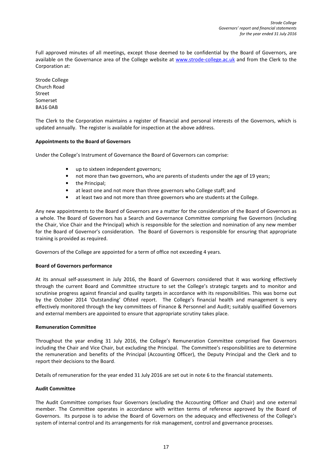Full approved minutes of all meetings, except those deemed to be confidential by the Board of Governors, are available on the Governance area of the College website at www.strode-college.ac.uk and from the Clerk to the Corporation at:

Strode College Church Road Street Somerset BA16 0AB

The Clerk to the Corporation maintains a register of financial and personal interests of the Governors, which is updated annually. The register is available for inspection at the above address.

### Appointments to the Board of Governors

Under the College's Instrument of Governance the Board of Governors can comprise:

- up to sixteen independent governors;
- not more than two governors, who are parents of students under the age of 19 years;
- the Principal;
- at least one and not more than three governors who College staff; and
- at least two and not more than three governors who are students at the College.

Any new appointments to the Board of Governors are a matter for the consideration of the Board of Governors as a whole. The Board of Governors has a Search and Governance Committee comprising five Governors (including the Chair, Vice Chair and the Principal) which is responsible for the selection and nomination of any new member for the Board of Governor's consideration. The Board of Governors is responsible for ensuring that appropriate training is provided as required.

Governors of the College are appointed for a term of office not exceeding 4 years.

### Board of Governors performance

At its annual self-assessment in July 2016, the Board of Governors considered that it was working effectively through the current Board and Committee structure to set the College's strategic targets and to monitor and scrutinise progress against financial and quality targets in accordance with its responsibilities. This was borne out by the October 2014 'Outstanding' Ofsted report. The College's financial health and management is very effectively monitored through the key committees of Finance & Personnel and Audit; suitably qualified Governors and external members are appointed to ensure that appropriate scrutiny takes place.

### Remuneration Committee

Throughout the year ending 31 July 2016, the College's Remuneration Committee comprised five Governors including the Chair and Vice Chair, but excluding the Principal. The Committee's responsibilities are to determine the remuneration and benefits of the Principal (Accounting Officer), the Deputy Principal and the Clerk and to report their decisions to the Board.

Details of remuneration for the year ended 31 July 2016 are set out in note 6 to the financial statements.

### Audit Committee

The Audit Committee comprises four Governors (excluding the Accounting Officer and Chair) and one external member. The Committee operates in accordance with written terms of reference approved by the Board of Governors. Its purpose is to advise the Board of Governors on the adequacy and effectiveness of the College's system of internal control and its arrangements for risk management, control and governance processes.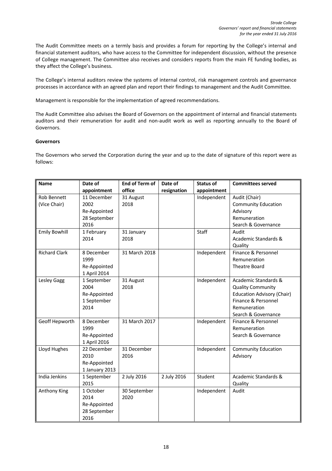The Audit Committee meets on a termly basis and provides a forum for reporting by the College's internal and financial statement auditors, who have access to the Committee for independent discussion, without the presence of College management. The Committee also receives and considers reports from the main FE funding bodies, as they affect the College's business.

The College's internal auditors review the systems of internal control, risk management controls and governance processes in accordance with an agreed plan and report their findings to management and the Audit Committee.

Management is responsible for the implementation of agreed recommendations.

The Audit Committee also advises the Board of Governors on the appointment of internal and financial statements auditors and their remuneration for audit and non-audit work as well as reporting annually to the Board of Governors.

## Governors

The Governors who served the Corporation during the year and up to the date of signature of this report were as follows:

| <b>Name</b>          | Date of        | <b>End of Term of</b> | Date of     | <b>Status of</b> | <b>Committees served</b>          |
|----------------------|----------------|-----------------------|-------------|------------------|-----------------------------------|
|                      | appointment    | office                | resignation | appointment      |                                   |
| Rob Bennett          | 11 December    | 31 August             |             | Independent      | Audit (Chair)                     |
| (Vice Chair)         | 2002           | 2018                  |             |                  | <b>Community Education</b>        |
|                      | Re-Appointed   |                       |             |                  | Advisory                          |
|                      | 28 September   |                       |             |                  | Remuneration                      |
|                      | 2016           |                       |             |                  | Search & Governance               |
| <b>Emily Bowhill</b> | 1 February     | 31 January            |             | Staff            | Audit                             |
|                      | 2014           | 2018                  |             |                  | Academic Standards &              |
|                      |                |                       |             |                  | Quality                           |
| <b>Richard Clark</b> | 8 December     | 31 March 2018         |             | Independent      | Finance & Personnel               |
|                      | 1999           |                       |             |                  | Remuneration                      |
|                      | Re-Appointed   |                       |             |                  | <b>Theatre Board</b>              |
|                      | 1 April 2014   |                       |             |                  |                                   |
| Lesley Gagg          | 1 September    | 31 August             |             | Independent      | Academic Standards &              |
|                      | 2004           | 2018                  |             |                  | <b>Quality Community</b>          |
|                      | Re-Appointed   |                       |             |                  | <b>Education Advisory (Chair)</b> |
|                      | 1 September    |                       |             |                  | Finance & Personnel               |
|                      | 2014           |                       |             |                  | Remuneration                      |
|                      |                |                       |             |                  | Search & Governance               |
| Geoff Hepworth       | 8 December     | 31 March 2017         |             | Independent      | Finance & Personnel               |
|                      | 1999           |                       |             |                  | Remuneration                      |
|                      | Re-Appointed   |                       |             |                  | Search & Governance               |
|                      | 1 April 2016   |                       |             |                  |                                   |
| Lloyd Hughes         | 22 December    | 31 December           |             | Independent      | <b>Community Education</b>        |
|                      | 2010           | 2016                  |             |                  | Advisory                          |
|                      | Re-Appointed   |                       |             |                  |                                   |
|                      | 1 January 2013 |                       |             |                  |                                   |
| India Jenkins        | 1 September    | 2 July 2016           | 2 July 2016 | Student          | Academic Standards &              |
|                      | 2015           |                       |             |                  | Quality                           |
| Anthony King         | 1 October      | 30 September          |             | Independent      | Audit                             |
|                      | 2014           | 2020                  |             |                  |                                   |
|                      | Re-Appointed   |                       |             |                  |                                   |
|                      | 28 September   |                       |             |                  |                                   |
|                      | 2016           |                       |             |                  |                                   |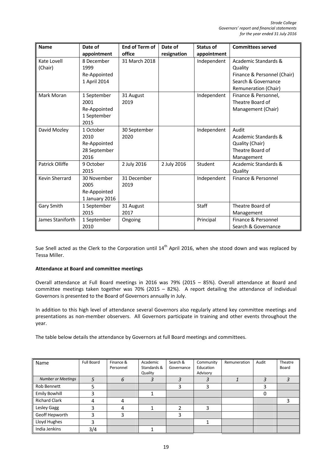| <b>Name</b>            | Date of                                                    | <b>End of Term of</b> | Date of     | Status of   | <b>Committees served</b>                                                                                      |
|------------------------|------------------------------------------------------------|-----------------------|-------------|-------------|---------------------------------------------------------------------------------------------------------------|
|                        | appointment                                                | office                | resignation | appointment |                                                                                                               |
| Kate Lovell<br>(Chair) | 8 December<br>1999<br>Re-Appointed<br>1 April 2014         | 31 March 2018         |             | Independent | Academic Standards &<br>Quality<br>Finance & Personnel (Chair)<br>Search & Governance<br>Remuneration (Chair) |
| Mark Moran             | 1 September<br>2001<br>Re-Appointed<br>1 September<br>2015 | 31 August<br>2019     |             | Independent | Finance & Personnel,<br>Theatre Board of<br>Management (Chair)                                                |
| David Mozley           | 1 October<br>2010<br>Re-Appointed<br>28 September<br>2016  | 30 September<br>2020  |             | Independent | Audit<br>Academic Standards &<br>Quality (Chair)<br>Theatre Board of<br>Management                            |
| Patrick Olliffe        | 9 October<br>2015                                          | 2 July 2016           | 2 July 2016 | Student     | Academic Standards &<br>Quality                                                                               |
| Kevin Sherrard         | 30 November<br>2005<br>Re-Appointed<br>1 January 2016      | 31 December<br>2019   |             | Independent | Finance & Personnel                                                                                           |
| Gary Smith             | 1 September<br>2015                                        | 31 August<br>2017     |             | Staff       | Theatre Board of<br>Management                                                                                |
| James Staniforth       | 1 September<br>2010                                        | Ongoing               |             | Principal   | Finance & Personnel<br>Search & Governance                                                                    |

Sue Snell acted as the Clerk to the Corporation until  $14<sup>th</sup>$  April 2016, when she stood down and was replaced by Tessa Miller.

### Attendance at Board and committee meetings

Overall attendance at Full Board meetings in 2016 was 79% (2015 – 85%). Overall attendance at Board and committee meetings taken together was 70% (2015 – 82%). A report detailing the attendance of individual Governors is presented to the Board of Governors annually in July.

In addition to this high level of attendance several Governors also regularly attend key committee meetings and presentations as non-member observers. All Governors participate in training and other events throughout the year.

The table below details the attendance by Governors at full Board meetings and committees.

| Name                      | <b>Full Board</b> | Finance &<br>Personnel | Academic<br>Standards &<br>Quality | Search &<br>Governance | Community<br>Education<br>Advisory | Remuneration | Audit | Theatre<br>Board |
|---------------------------|-------------------|------------------------|------------------------------------|------------------------|------------------------------------|--------------|-------|------------------|
| <b>Number or Meetings</b> |                   | n                      |                                    |                        |                                    |              |       |                  |
| Rob Bennett               |                   |                        |                                    |                        |                                    |              |       |                  |
| <b>Emily Bowhill</b>      |                   |                        |                                    |                        |                                    |              |       |                  |
| <b>Richard Clark</b>      |                   |                        |                                    |                        |                                    |              |       |                  |
| Lesley Gagg               |                   | Δ                      |                                    |                        | ς                                  |              |       |                  |
| Geoff Hepworth            |                   |                        |                                    |                        |                                    |              |       |                  |
| Lloyd Hughes              | ς                 |                        |                                    |                        |                                    |              |       |                  |
| India Jenkins             | 3/4               |                        |                                    |                        |                                    |              |       |                  |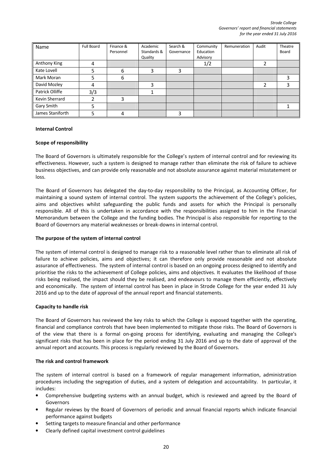| Name             | Full Board | Finance &<br>Personnel | Academic<br>Standards &<br>Quality | Search &<br>Governance | Community<br>Education<br>Advisory | Remuneration | Audit | Theatre<br>Board |
|------------------|------------|------------------------|------------------------------------|------------------------|------------------------------------|--------------|-------|------------------|
| Anthony King     |            |                        |                                    |                        | 1/2                                |              |       |                  |
| Kate Lovell      |            | 6                      | ς                                  |                        |                                    |              |       |                  |
| Mark Moran       |            | 6                      |                                    |                        |                                    |              |       |                  |
| David Mozley     |            |                        |                                    |                        |                                    |              |       |                  |
| Patrick Olliffe  | 3/3        |                        |                                    |                        |                                    |              |       |                  |
| Kevin Sherrard   |            |                        |                                    |                        |                                    |              |       |                  |
| Gary Smith       |            |                        |                                    |                        |                                    |              |       |                  |
| James Staniforth |            |                        |                                    |                        |                                    |              |       |                  |

### Internal Control

### Scope of responsibility

The Board of Governors is ultimately responsible for the College's system of internal control and for reviewing its effectiveness. However, such a system is designed to manage rather than eliminate the risk of failure to achieve business objectives, and can provide only reasonable and not absolute assurance against material misstatement or loss.

The Board of Governors has delegated the day-to-day responsibility to the Principal, as Accounting Officer, for maintaining a sound system of internal control. The system supports the achievement of the College's policies, aims and objectives whilst safeguarding the public funds and assets for which the Principal is personally responsible. All of this is undertaken in accordance with the responsibilities assigned to him in the Financial Memorandum between the College and the funding bodies. The Principal is also responsible for reporting to the Board of Governors any material weaknesses or break-downs in internal control.

### The purpose of the system of internal control

The system of internal control is designed to manage risk to a reasonable level rather than to eliminate all risk of failure to achieve policies, aims and objectives; it can therefore only provide reasonable and not absolute assurance of effectiveness. The system of internal control is based on an ongoing process designed to identify and prioritise the risks to the achievement of College policies, aims and objectives. It evaluates the likelihood of those risks being realised, the impact should they be realised, and endeavours to manage them efficiently, effectively and economically. The system of internal control has been in place in Strode College for the year ended 31 July 2016 and up to the date of approval of the annual report and financial statements.

### Capacity to handle risk

The Board of Governors has reviewed the key risks to which the College is exposed together with the operating, financial and compliance controls that have been implemented to mitigate those risks. The Board of Governors is of the view that there is a formal on-going process for identifying, evaluating and managing the College's significant risks that has been in place for the period ending 31 July 2016 and up to the date of approval of the annual report and accounts. This process is regularly reviewed by the Board of Governors.

### The risk and control framework

The system of internal control is based on a framework of regular management information, administration procedures including the segregation of duties, and a system of delegation and accountability. In particular, it includes:

- Comprehensive budgeting systems with an annual budget, which is reviewed and agreed by the Board of Governors
- Regular reviews by the Board of Governors of periodic and annual financial reports which indicate financial performance against budgets
- Setting targets to measure financial and other performance
- Clearly defined capital investment control guidelines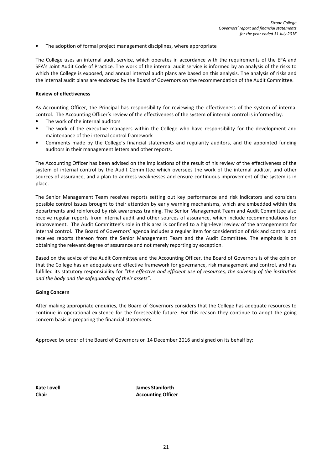• The adoption of formal project management disciplines, where appropriate

The College uses an internal audit service, which operates in accordance with the requirements of the EFA and SFA's Joint Audit Code of Practice. The work of the internal audit service is informed by an analysis of the risks to which the College is exposed, and annual internal audit plans are based on this analysis. The analysis of risks and the internal audit plans are endorsed by the Board of Governors on the recommendation of the Audit Committee.

### Review of effectiveness

As Accounting Officer, the Principal has responsibility for reviewing the effectiveness of the system of internal control. The Accounting Officer's review of the effectiveness of the system of internal control is informed by:

- The work of the internal auditors
- The work of the executive managers within the College who have responsibility for the development and maintenance of the internal control framework
- Comments made by the College's financial statements and regularity auditors, and the appointed funding auditors in their management letters and other reports.

The Accounting Officer has been advised on the implications of the result of his review of the effectiveness of the system of internal control by the Audit Committee which oversees the work of the internal auditor, and other sources of assurance, and a plan to address weaknesses and ensure continuous improvement of the system is in place.

The Senior Management Team receives reports setting out key performance and risk indicators and considers possible control issues brought to their attention by early warning mechanisms, which are embedded within the departments and reinforced by risk awareness training. The Senior Management Team and Audit Committee also receive regular reports from internal audit and other sources of assurance, which include recommendations for improvement. The Audit Committee's role in this area is confined to a high-level review of the arrangements for internal control. The Board of Governors' agenda includes a regular item for consideration of risk and control and receives reports thereon from the Senior Management Team and the Audit Committee. The emphasis is on obtaining the relevant degree of assurance and not merely reporting by exception.

Based on the advice of the Audit Committee and the Accounting Officer, the Board of Governors is of the opinion that the College has an adequate and effective framework for governance, risk management and control, and has fulfilled its statutory responsibility for "the effective and efficient use of resources, the solvency of the institution and the body and the safeguarding of their assets".

### Going Concern

After making appropriate enquiries, the Board of Governors considers that the College has adequate resources to continue in operational existence for the foreseeable future. For this reason they continue to adopt the going concern basis in preparing the financial statements.

Approved by order of the Board of Governors on 14 December 2016 and signed on its behalf by:

Kate Lovell **Access 12 Contract Contract Contract Contract Contract Contract Contract Contract Contract Contract Contract Contract Contract Contract Contract Contract Contract Contract Contract Contract Contract Contract C** Chair **Chair Chair Chair Chair Chair Chair Chair Chair Chair Chair Chair Chair Chair Chair Chair Chair Chair Chair Chair Chair Chair Chair Chair Chair Chair Chair Chair**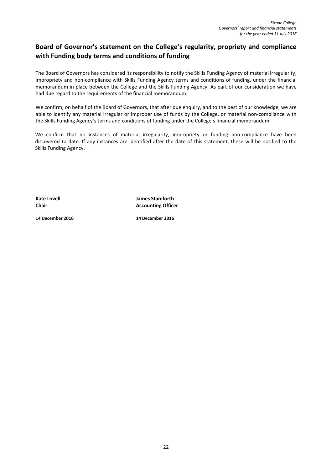# Board of Governor's statement on the College's regularity, propriety and compliance with Funding body terms and conditions of funding

The Board of Governors has considered its responsibility to notify the Skills Funding Agency of material irregularity, impropriety and non-compliance with Skills Funding Agency terms and conditions of funding, under the financial memorandum in place between the College and the Skills Funding Agency. As part of our consideration we have had due regard to the requirements of the financial memorandum.

We confirm, on behalf of the Board of Governors, that after due enquiry, and to the best of our knowledge, we are able to identify any material irregular or improper use of funds by the College, or material non-compliance with the Skills Funding Agency's terms and conditions of funding under the College's financial memorandum.

We confirm that no instances of material irregularity, impropriety or funding non-compliance have been discovered to date. If any instances are identified after the date of this statement, these will be notified to the Skills Funding Agency.

Kate Lovell **Access 12 Contracts** Contracts James Staniforth **Chair Chair Chair Chair Chair Chair Chair Chair Chair Chair Chair Chair Chair Chair Chair Chair Chair Chair Chair Chair Chair Chair Chair Chair Chair Chair Chair Chair** 

14 December 2016 14 December 2016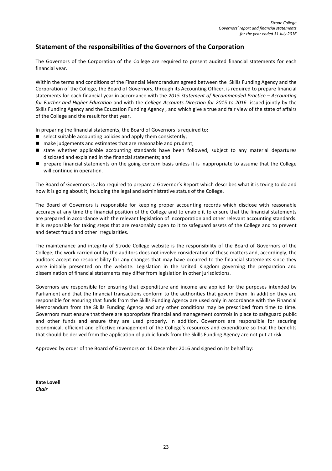# Statement of the responsibilities of the Governors of the Corporation

The Governors of the Corporation of the College are required to present audited financial statements for each financial year.

Within the terms and conditions of the Financial Memorandum agreed between the Skills Funding Agency and the Corporation of the College, the Board of Governors, through its Accounting Officer, is required to prepare financial statements for each financial year in accordance with the 2015 Statement of Recommended Practice – Accounting for Further and Higher Education and with the College Accounts Direction for 2015 to 2016 issued jointly by the Skills Funding Agency and the Education Funding Agency , and which give a true and fair view of the state of affairs of the College and the result for that year.

In preparing the financial statements, the Board of Governors is required to:

- select suitable accounting policies and apply them consistently;
- nake judgements and estimates that are reasonable and prudent;
- state whether applicable accounting standards have been followed, subject to any material departures disclosed and explained in the financial statements; and
- prepare financial statements on the going concern basis unless it is inappropriate to assume that the College will continue in operation.

The Board of Governors is also required to prepare a Governor's Report which describes what it is trying to do and how it is going about it, including the legal and administrative status of the College.

The Board of Governors is responsible for keeping proper accounting records which disclose with reasonable accuracy at any time the financial position of the College and to enable it to ensure that the financial statements are prepared in accordance with the relevant legislation of incorporation and other relevant accounting standards. It is responsible for taking steps that are reasonably open to it to safeguard assets of the College and to prevent and detect fraud and other irregularities.

The maintenance and integrity of Strode College website is the responsibility of the Board of Governors of the College; the work carried out by the auditors does not involve consideration of these matters and, accordingly, the auditors accept no responsibility for any changes that may have occurred to the financial statements since they were initially presented on the website. Legislation in the United Kingdom governing the preparation and dissemination of financial statements may differ from legislation in other jurisdictions.

Governors are responsible for ensuring that expenditure and income are applied for the purposes intended by Parliament and that the financial transactions conform to the authorities that govern them. In addition they are responsible for ensuring that funds from the Skills Funding Agency are used only in accordance with the Financial Memorandum from the Skills Funding Agency and any other conditions may be prescribed from time to time. Governors must ensure that there are appropriate financial and management controls in place to safeguard public and other funds and ensure they are used properly. In addition, Governors are responsible for securing economical, efficient and effective management of the College's resources and expenditure so that the benefits that should be derived from the application of public funds from the Skills Funding Agency are not put at risk.

Approved by order of the Board of Governors on 14 December 2016 and signed on its behalf by:

Kate Lovell Chair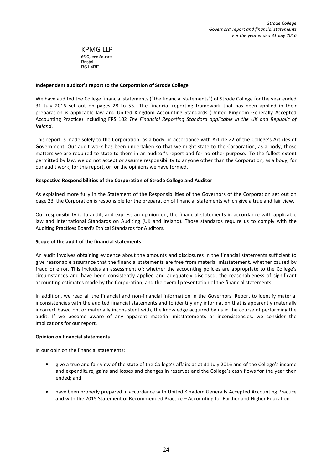## KPMG LLP

 66 Queen Square **Bristol** BS1 4BE

### Independent auditor's report to the Corporation of Strode College

We have audited the College financial statements ("the financial statements") of Strode College for the year ended 31 July 2016 set out on pages 28 to 53. The financial reporting framework that has been applied in their preparation is applicable law and United Kingdom Accounting Standards (United Kingdom Generally Accepted Accounting Practice) including FRS 102 The Financial Reporting Standard applicable in the UK and Republic of Ireland.

This report is made solely to the Corporation, as a body, in accordance with Article 22 of the College's Articles of Government. Our audit work has been undertaken so that we might state to the Corporation, as a body, those matters we are required to state to them in an auditor's report and for no other purpose. To the fullest extent permitted by law, we do not accept or assume responsibility to anyone other than the Corporation, as a body, for our audit work, for this report, or for the opinions we have formed.

### Respective Responsibilities of the Corporation of Strode College and Auditor

As explained more fully in the Statement of the Responsibilities of the Governors of the Corporation set out on page 23, the Corporation is responsible for the preparation of financial statements which give a true and fair view.

Our responsibility is to audit, and express an opinion on, the financial statements in accordance with applicable law and International Standards on Auditing (UK and Ireland). Those standards require us to comply with the Auditing Practices Board's Ethical Standards for Auditors.

### Scope of the audit of the financial statements

An audit involves obtaining evidence about the amounts and disclosures in the financial statements sufficient to give reasonable assurance that the financial statements are free from material misstatement, whether caused by fraud or error. This includes an assessment of: whether the accounting policies are appropriate to the College's circumstances and have been consistently applied and adequately disclosed; the reasonableness of significant accounting estimates made by the Corporation; and the overall presentation of the financial statements.

In addition, we read all the financial and non-financial information in the Governors' Report to identify material inconsistencies with the audited financial statements and to identify any information that is apparently materially incorrect based on, or materially inconsistent with, the knowledge acquired by us in the course of performing the audit. If we become aware of any apparent material misstatements or inconsistencies, we consider the implications for our report.

### Opinion on financial statements

In our opinion the financial statements:

- give a true and fair view of the state of the College's affairs as at 31 July 2016 and of the College's income and expenditure, gains and losses and changes in reserves and the College's cash flows for the year then ended; and
- have been properly prepared in accordance with United Kingdom Generally Accepted Accounting Practice and with the 2015 Statement of Recommended Practice – Accounting for Further and Higher Education.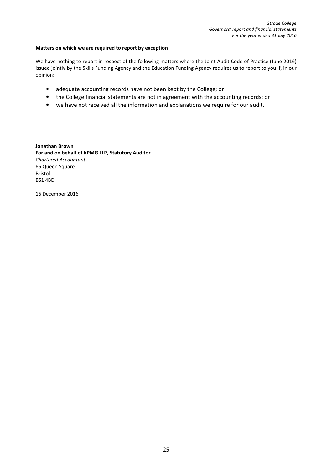## Matters on which we are required to report by exception

We have nothing to report in respect of the following matters where the Joint Audit Code of Practice (June 2016) issued jointly by the Skills Funding Agency and the Education Funding Agency requires us to report to you if, in our opinion:

- adequate accounting records have not been kept by the College; or
- the College financial statements are not in agreement with the accounting records; or
- we have not received all the information and explanations we require for our audit.

Jonathan Brown For and on behalf of KPMG LLP, Statutory Auditor Chartered Accountants 66 Queen Square Bristol BS1 4BE

16 December 2016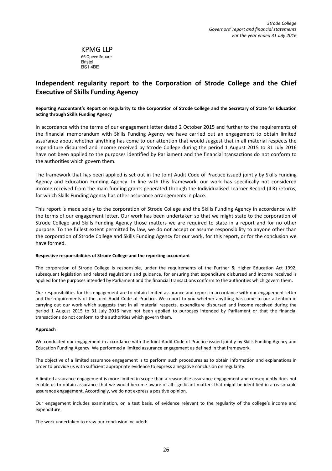#### KPMG LLP 66 Queen Square Bristol BS1 4BE

# Independent regularity report to the Corporation of Strode College and the Chief Executive of Skills Funding Agency

### Reporting Accountant's Report on Regularity to the Corporation of Strode College and the Secretary of State for Education acting through Skills Funding Agency

In accordance with the terms of our engagement letter dated 2 October 2015 and further to the requirements of the financial memorandum with Skills Funding Agency we have carried out an engagement to obtain limited assurance about whether anything has come to our attention that would suggest that in all material respects the expenditure disbursed and income received by Strode College during the period 1 August 2015 to 31 July 2016 have not been applied to the purposes identified by Parliament and the financial transactions do not conform to the authorities which govern them.

The framework that has been applied is set out in the Joint Audit Code of Practice issued jointly by Skills Funding Agency and Education Funding Agency. In line with this framework, our work has specifically not considered income received from the main funding grants generated through the Individualised Learner Record (ILR) returns, for which Skills Funding Agency has other assurance arrangements in place.

This report is made solely to the corporation of Strode College and the Skills Funding Agency in accordance with the terms of our engagement letter. Our work has been undertaken so that we might state to the corporation of Strode College and Skills Funding Agency those matters we are required to state in a report and for no other purpose. To the fullest extent permitted by law, we do not accept or assume responsibility to anyone other than the corporation of Strode College and Skills Funding Agency for our work, for this report, or for the conclusion we have formed.

### Respective responsibilities of Strode College and the reporting accountant

The corporation of Strode College is responsible, under the requirements of the Further & Higher Education Act 1992, subsequent legislation and related regulations and guidance, for ensuring that expenditure disbursed and income received is applied for the purposes intended by Parliament and the financial transactions conform to the authorities which govern them.

Our responsibilities for this engagement are to obtain limited assurance and report in accordance with our engagement letter and the requirements of the Joint Audit Code of Practice. We report to you whether anything has come to our attention in carrying out our work which suggests that in all material respects, expenditure disbursed and income received during the period 1 August 2015 to 31 July 2016 have not been applied to purposes intended by Parliament or that the financial transactions do not conform to the authorities which govern them.

### Approach

We conducted our engagement in accordance with the Joint Audit Code of Practice issued jointly by Skills Funding Agency and Education Funding Agency. We performed a limited assurance engagement as defined in that framework.

The objective of a limited assurance engagement is to perform such procedures as to obtain information and explanations in order to provide us with sufficient appropriate evidence to express a negative conclusion on regularity.

A limited assurance engagement is more limited in scope than a reasonable assurance engagement and consequently does not enable us to obtain assurance that we would become aware of all significant matters that might be identified in a reasonable assurance engagement. Accordingly, we do not express a positive opinion.

Our engagement includes examination, on a test basis, of evidence relevant to the regularity of the college's income and expenditure.

The work undertaken to draw our conclusion included: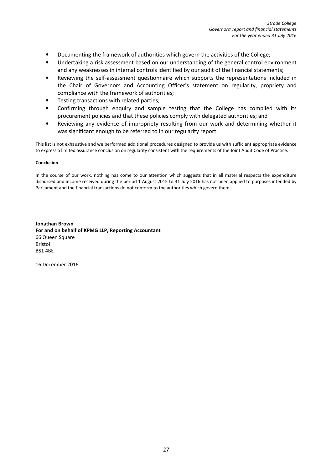- Documenting the framework of authorities which govern the activities of the College;
- Undertaking a risk assessment based on our understanding of the general control environment and any weaknesses in internal controls identified by our audit of the financial statements;
- Reviewing the self-assessment questionnaire which supports the representations included in the Chair of Governors and Accounting Officer's statement on regularity, propriety and compliance with the framework of authorities;
- Testing transactions with related parties;
- Confirming through enquiry and sample testing that the College has complied with its procurement policies and that these policies comply with delegated authorities; and
- Reviewing any evidence of impropriety resulting from our work and determining whether it was significant enough to be referred to in our regularity report.

This list is not exhaustive and we performed additional procedures designed to provide us with sufficient appropriate evidence to express a limited assurance conclusion on regularity consistent with the requirements of the Joint Audit Code of Practice.

### Conclusion

In the course of our work, nothing has come to our attention which suggests that in all material respects the expenditure disbursed and income received during the period 1 August 2015 to 31 July 2016 has not been applied to purposes intended by Parliament and the financial transactions do not conform to the authorities which govern them.

Jonathan Brown For and on behalf of KPMG LLP, Reporting Accountant 66 Queen Square Bristol BS1 4BE

16 December 2016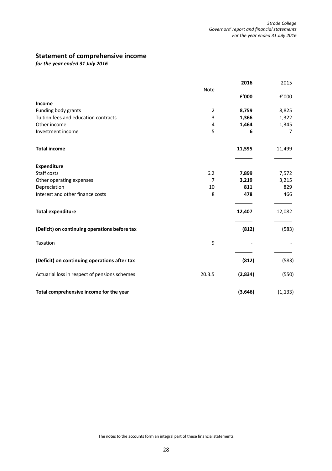# Statement of comprehensive income

for the year ended 31 July 2016

|                                               |                | 2016    | 2015     |
|-----------------------------------------------|----------------|---------|----------|
|                                               | Note           |         |          |
|                                               |                | £'000   | £'000    |
| Income                                        |                |         |          |
| Funding body grants                           | $\overline{2}$ | 8,759   | 8,825    |
| Tuition fees and education contracts          | 3              | 1,366   | 1,322    |
| Other income                                  | 4              | 1,464   | 1,345    |
| Investment income                             | 5              | 6       | 7        |
| <b>Total income</b>                           |                | 11,595  | 11,499   |
| <b>Expenditure</b>                            |                |         |          |
| Staff costs                                   | 6.2            | 7,899   | 7,572    |
| Other operating expenses                      | 7              | 3,219   | 3,215    |
| Depreciation                                  | 10             | 811     | 829      |
| Interest and other finance costs              | 8              | 478     | 466      |
| <b>Total expenditure</b>                      |                | 12,407  | 12,082   |
| (Deficit) on continuing operations before tax |                | (812)   | (583)    |
| Taxation                                      | 9              |         |          |
| (Deficit) on continuing operations after tax  |                | (812)   | (583)    |
| Actuarial loss in respect of pensions schemes | 20.3.5         | (2,834) | (550)    |
| Total comprehensive income for the year       |                | (3,646) | (1, 133) |
|                                               |                |         |          |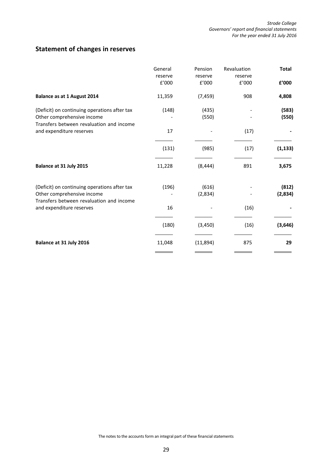# Statement of changes in reserves

|                                                                        | General | Pension   | Revaluation | <b>Total</b> |
|------------------------------------------------------------------------|---------|-----------|-------------|--------------|
|                                                                        | reserve | reserve   | reserve     |              |
|                                                                        | f'000   | f'000     | f'000       | £'000        |
| Balance as at 1 August 2014                                            | 11,359  | (7, 459)  | 908         | 4,808        |
| (Deficit) on continuing operations after tax                           | (148)   | (435)     |             | (583)        |
| Other comprehensive income                                             |         | (550)     |             | (550)        |
| Transfers between revaluation and income                               |         |           |             |              |
| and expenditure reserves                                               | 17      |           | (17)        |              |
|                                                                        |         | (985)     |             |              |
|                                                                        | (131)   |           | (17)        | (1, 133)     |
| Balance at 31 July 2015                                                | 11,228  | (8, 444)  | 891         | 3,675        |
| (Deficit) on continuing operations after tax                           | (196)   | (616)     |             | (812)        |
| Other comprehensive income<br>Transfers between revaluation and income |         | (2,834)   |             | (2,834)      |
| and expenditure reserves                                               | 16      |           | (16)        |              |
|                                                                        | (180)   | (3, 450)  | (16)        | (3,646)      |
| Balance at 31 July 2016                                                | 11,048  | (11, 894) | 875         | 29           |
|                                                                        |         |           |             |              |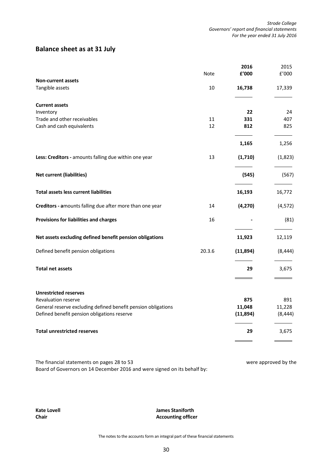# Balance sheet as at 31 July

|                                                               |             | 2016      | 2015     |
|---------------------------------------------------------------|-------------|-----------|----------|
|                                                               | <b>Note</b> | £'000     | f'000    |
| <b>Non-current assets</b>                                     |             |           |          |
| Tangible assets                                               | 10          | 16,738    | 17,339   |
| <b>Current assets</b>                                         |             |           |          |
| Inventory                                                     |             | 22        | 24       |
| Trade and other receivables                                   | 11          | 331       | 407      |
| Cash and cash equivalents                                     | 12          | 812       | 825      |
|                                                               |             | 1,165     | 1,256    |
| Less: Creditors - amounts falling due within one year         | 13          | (1,710)   | (1,823)  |
| <b>Net current (liabilities)</b>                              |             | (545)     | (567)    |
|                                                               |             |           |          |
| <b>Total assets less current liabilities</b>                  |             | 16,193    | 16,772   |
| Creditors - amounts falling due after more than one year      | 14          | (4, 270)  | (4, 572) |
| Provisions for liabilities and charges                        | 16          |           | (81)     |
| Net assets excluding defined benefit pension obligations      |             | 11,923    | 12,119   |
| Defined benefit pension obligations                           | 20.3.6      | (11, 894) | (8, 444) |
| <b>Total net assets</b>                                       |             | 29        | 3,675    |
| <b>Unrestricted reserves</b>                                  |             |           |          |
| Revaluation reserve                                           |             | 875       | 891      |
| General reserve excluding defined benefit pension obligations |             | 11,048    | 11,228   |
| Defined benefit pension obligations reserve                   |             | (11, 894) | (8, 444) |
| <b>Total unrestricted reserves</b>                            |             | 29        | 3,675    |
|                                                               |             |           |          |
|                                                               |             |           |          |

The financial statements on pages 28 to 53 were approved by the Board of Governors on 14 December 2016 and were signed on its behalf by:

Kate Lovell **Accord Accord Contract Contract Accord Accord Accord Accord Accord Accord Accord Accord Accord Accord Accord Accord Accord Accord Accord Accord Accord Accord Accord Accord Accord Accord Accord Accord Accord Ac** Chair **Chair Chair Chair Chair Chair Chair Chair Chair Chair Chair Chair Chair Chair Chair Chair Chair Chair Chair Chair Chair Chair Chair Chair Chair Chair Chair Chair**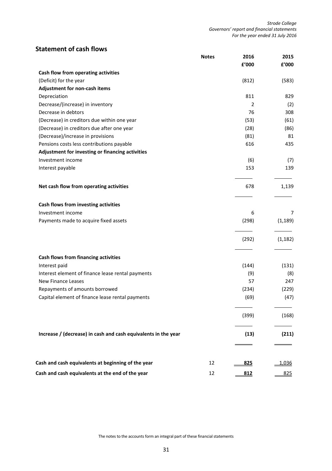# Statement of cash flows

|                                                                | <b>Notes</b> | 2016<br>£'000  | 2015<br>£'000 |
|----------------------------------------------------------------|--------------|----------------|---------------|
| Cash flow from operating activities                            |              |                |               |
| (Deficit) for the year                                         |              | (812)          | (583)         |
| Adjustment for non-cash items                                  |              |                |               |
| Depreciation                                                   |              | 811            | 829           |
| Decrease/(increase) in inventory                               |              | $\overline{2}$ | (2)           |
| Decrease in debtors                                            |              | 76             | 308           |
| (Decrease) in creditors due within one year                    |              | (53)           | (61)          |
| (Decrease) in creditors due after one year                     |              | (28)           | (86)          |
| (Decrease)/increase in provisions                              |              | (81)           | 81            |
| Pensions costs less contributions payable                      |              | 616            | 435           |
| Adjustment for investing or financing activities               |              |                |               |
| Investment income                                              |              | (6)            | (7)           |
| Interest payable                                               |              | 153            | 139           |
| Net cash flow from operating activities                        |              | 678            | 1,139         |
|                                                                |              |                |               |
| Cash flows from investing activities                           |              |                |               |
| Investment income                                              |              | 6              | 7             |
| Payments made to acquire fixed assets                          |              | (298)          | (1, 189)      |
|                                                                |              | (292)          | (1, 182)      |
| Cash flows from financing activities                           |              |                |               |
| Interest paid                                                  |              | (144)          | (131)         |
| Interest element of finance lease rental payments              |              | (9)            | (8)           |
| <b>New Finance Leases</b>                                      |              | 57             | 247           |
| Repayments of amounts borrowed                                 |              | (234)          | (229)         |
| Capital element of finance lease rental payments               |              | (69)           | (47)          |
|                                                                |              | (399)          | (168)         |
| Increase / (decrease) in cash and cash equivalents in the year |              | (13)           | (211)         |
|                                                                |              |                |               |
| Cash and cash equivalents at beginning of the year             | 12           | <u>825</u>     | 1,036         |
| Cash and cash equivalents at the end of the year               | 12           | 812            | 825           |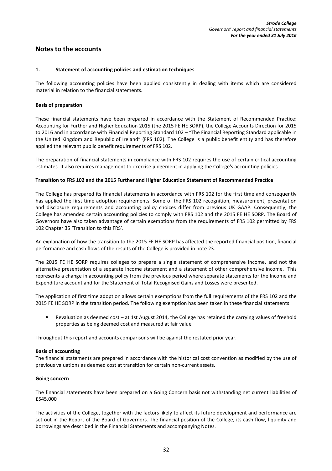## Notes to the accounts

### 1. Statement of accounting policies and estimation techniques

The following accounting policies have been applied consistently in dealing with items which are considered material in relation to the financial statements.

### Basis of preparation

These financial statements have been prepared in accordance with the Statement of Recommended Practice: Accounting for Further and Higher Education 2015 (the 2015 FE HE SORP), the College Accounts Direction for 2015 to 2016 and in accordance with Financial Reporting Standard 102 – "The Financial Reporting Standard applicable in the United Kingdom and Republic of Ireland" (FRS 102). The College is a public benefit entity and has therefore applied the relevant public benefit requirements of FRS 102.

The preparation of financial statements in compliance with FRS 102 requires the use of certain critical accounting estimates. It also requires management to exercise judgement in applying the College's accounting policies

### Transition to FRS 102 and the 2015 Further and Higher Education Statement of Recommended Practice

The College has prepared its financial statements in accordance with FRS 102 for the first time and consequently has applied the first time adoption requirements. Some of the FRS 102 recognition, measurement, presentation and disclosure requirements and accounting policy choices differ from previous UK GAAP. Consequently, the College has amended certain accounting policies to comply with FRS 102 and the 2015 FE HE SORP. The Board of Governors have also taken advantage of certain exemptions from the requirements of FRS 102 permitted by FRS 102 Chapter 35 'Transition to this FRS'.

An explanation of how the transition to the 2015 FE HE SORP has affected the reported financial position, financial performance and cash flows of the results of the College is provided in note 23.

The 2015 FE HE SORP requires colleges to prepare a single statement of comprehensive income, and not the alternative presentation of a separate income statement and a statement of other comprehensive income. This represents a change in accounting policy from the previous period where separate statements for the Income and Expenditure account and for the Statement of Total Recognised Gains and Losses were presented.

The application of first time adoption allows certain exemptions from the full requirements of the FRS 102 and the 2015 FE HE SORP in the transition period. The following exemption has been taken in these financial statements:

• Revaluation as deemed cost – at 1st August 2014, the College has retained the carrying values of freehold properties as being deemed cost and measured at fair value

Throughout this report and accounts comparisons will be against the restated prior year.

### Basis of accounting

The financial statements are prepared in accordance with the historical cost convention as modified by the use of previous valuations as deemed cost at transition for certain non-current assets.

### Going concern

The financial statements have been prepared on a Going Concern basis not withstanding net current liabilities of £545,000

The activities of the College, together with the factors likely to affect its future development and performance are set out in the Report of the Board of Governors. The financial position of the College, its cash flow, liquidity and borrowings are described in the Financial Statements and accompanying Notes.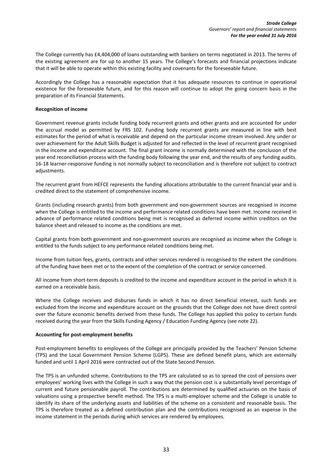The College currently has £4,404,000 of loans outstanding with bankers on terms negotiated in 2013. The terms of the existing agreement are for up to another 15 years. The College's forecasts and financial projections indicate that it will be able to operate within this existing facility and covenants for the foreseeable future.

Accordingly the College has a reasonable expectation that it has adequate resources to continue in operational existence for the foreseeable future, and for this reason will continue to adopt the going concern basis in the preparation of its Financial Statements.

### Recognition of income

Government revenue grants include funding body recurrent grants and other grants and are accounted for under the accrual model as permitted by FRS 102. Funding body recurrent grants are measured in line with best estimates for the period of what is receivable and depend on the particular income stream involved. Any under or over achievement for the Adult Skills Budget is adjusted for and reflected in the level of recurrent grant recognised in the income and expenditure account. The final grant income is normally determined with the conclusion of the year end reconciliation process with the funding body following the year end, and the results of any funding audits. 16-18 learner-responsive funding is not normally subject to reconciliation and is therefore not subject to contract adiustments.

The recurrent grant from HEFCE represents the funding allocations attributable to the current financial year and is credited direct to the statement of comprehensive income.

Grants (including research grants) from both government and non-government sources are recognised in income when the College is entitled to the income and performance related conditions have been met. Income received in advance of performance related conditions being met is recognised as deferred income within creditors on the balance sheet and released to income as the conditions are met.

Capital grants from both government and non-government sources are recognised as income when the College is entitled to the funds subject to any performance related conditions being met.

Income from tuition fees, grants, contracts and other services rendered is recognised to the extent the conditions of the funding have been met or to the extent of the completion of the contract or service concerned.

All income from short-term deposits is credited to the income and expenditure account in the period in which it is earned on a receivable basis.

Where the College receives and disburses funds in which it has no direct beneficial interest, such funds are excluded from the income and expenditure account on the grounds that the College does not have direct control over the future economic benefits derived from these funds. The College has applied this policy to certain funds received during the year from the Skills Funding Agency / Education Funding Agency (see note 22).

### Accounting for post-employment benefits

Post-employment benefits to employees of the College are principally provided by the Teachers' Pension Scheme (TPS) and the Local Government Pension Scheme (LGPS). These are defined benefit plans, which are externally funded and until 1 April 2016 were contracted out of the State Second Pension.

The TPS is an unfunded scheme. Contributions to the TPS are calculated so as to spread the cost of pensions over employees' working lives with the College in such a way that the pension cost is a substantially level percentage of current and future pensionable payroll. The contributions are determined by qualified actuaries on the basis of valuations using a prospective benefit method. The TPS is a multi-employer scheme and the College is unable to identify its share of the underlying assets and liabilities of the scheme on a consistent and reasonable basis. The TPS is therefore treated as a defined contribution plan and the contributions recognised as an expense in the income statement in the periods during which services are rendered by employees.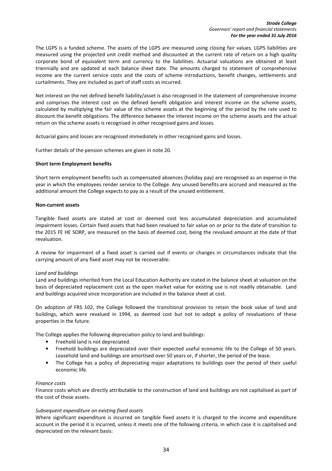The LGPS is a funded scheme. The assets of the LGPS are measured using closing fair values. LGPS liabilities are measured using the projected unit credit method and discounted at the current rate of return on a high quality corporate bond of equivalent term and currency to the liabilities. Actuarial valuations are obtained at least triennially and are updated at each balance sheet date. The amounts charged to statement of comprehensive income are the current service costs and the costs of scheme introductions, benefit changes, settlements and curtailments. They are included as part of staff costs as incurred.

Net interest on the net defined benefit liability/asset is also recognised in the statement of comprehensive income and comprises the interest cost on the defined benefit obligation and interest income on the scheme assets, calculated by multiplying the fair value of the scheme assets at the beginning of the period by the rate used to discount the benefit obligations. The difference between the interest income on the scheme assets and the actual return on the scheme assets is recognised in other recognised gains and losses.

Actuarial gains and losses are recognised immediately in other recognised gains and losses.

Further details of the pension schemes are given in note 20.

### Short term Employment benefits

Short term employment benefits such as compensated absences (holiday pay) are recognised as an expense in the year in which the employees render service to the College. Any unused benefits are accrued and measured as the additional amount the College expects to pay as a result of the unused entitlement.

### Non-current assets

Tangible fixed assets are stated at cost or deemed cost less accumulated depreciation and accumulated impairment losses. Certain fixed assets that had been revalued to fair value on or prior to the date of transition to the 2015 FE HE SORP, are measured on the basis of deemed cost, being the revalued amount at the date of that revaluation.

A review for impairment of a fixed asset is carried out if events or changes in circumstances indicate that the carrying amount of any fixed asset may not be recoverable.

### Land and buildings

Land and buildings inherited from the Local Education Authority are stated in the balance sheet at valuation on the basis of depreciated replacement cost as the open market value for existing use is not readily obtainable. Land and buildings acquired since incorporation are included in the balance sheet at cost.

On adoption of FRS 102, the College followed the transitional provision to retain the book value of land and buildings, which were revalued in 1994, as deemed cost but not to adopt a policy of revaluations of these properties in the future.

The College applies the following depreciation policy to land and buildings:

- Freehold land is not depreciated.
- Freehold buildings are depreciated over their expected useful economic life to the College of 50 years. Leasehold land and buildings are amortised over 50 years or, if shorter, the period of the lease.
- The College has a policy of depreciating major adaptations to buildings over the period of their useful economic life.

### Finance costs

Finance costs which are directly attributable to the construction of land and buildings are not capitalised as part of the cost of those assets.

### Subsequent expenditure on existing fixed assets

Where significant expenditure is incurred on tangible fixed assets it is charged to the income and expenditure account in the period it is incurred, unless it meets one of the following criteria, in which case it is capitalised and depreciated on the relevant basis: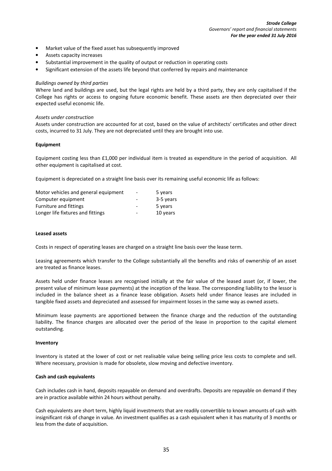- Market value of the fixed asset has subsequently improved
- Assets capacity increases
- Substantial improvement in the quality of output or reduction in operating costs
- Significant extension of the assets life beyond that conferred by repairs and maintenance

### Buildings owned by third parties

Where land and buildings are used, but the legal rights are held by a third party, they are only capitalised if the College has rights or access to ongoing future economic benefit. These assets are then depreciated over their expected useful economic life.

### Assets under construction

Assets under construction are accounted for at cost, based on the value of architects' certificates and other direct costs, incurred to 31 July. They are not depreciated until they are brought into use.

### Equipment

Equipment costing less than £1,000 per individual item is treated as expenditure in the period of acquisition. All other equipment is capitalised at cost.

Equipment is depreciated on a straight line basis over its remaining useful economic life as follows:

| Motor vehicles and general equipment | $\overline{\phantom{a}}$ | 5 years   |
|--------------------------------------|--------------------------|-----------|
| Computer equipment                   |                          | 3-5 years |
| Furniture and fittings               |                          | 5 years   |
| Longer life fixtures and fittings    |                          | 10 years  |

### Leased assets

Costs in respect of operating leases are charged on a straight line basis over the lease term.

Leasing agreements which transfer to the College substantially all the benefits and risks of ownership of an asset are treated as finance leases.

Assets held under finance leases are recognised initially at the fair value of the leased asset (or, if lower, the present value of minimum lease payments) at the inception of the lease. The corresponding liability to the lessor is included in the balance sheet as a finance lease obligation. Assets held under finance leases are included in tangible fixed assets and depreciated and assessed for impairment losses in the same way as owned assets.

Minimum lease payments are apportioned between the finance charge and the reduction of the outstanding liability. The finance charges are allocated over the period of the lease in proportion to the capital element outstanding.

### Inventory

Inventory is stated at the lower of cost or net realisable value being selling price less costs to complete and sell. Where necessary, provision is made for obsolete, slow moving and defective inventory.

### Cash and cash equivalents

Cash includes cash in hand, deposits repayable on demand and overdrafts. Deposits are repayable on demand if they are in practice available within 24 hours without penalty.

Cash equivalents are short term, highly liquid investments that are readily convertible to known amounts of cash with insignificant risk of change in value. An investment qualifies as a cash equivalent when it has maturity of 3 months or less from the date of acquisition.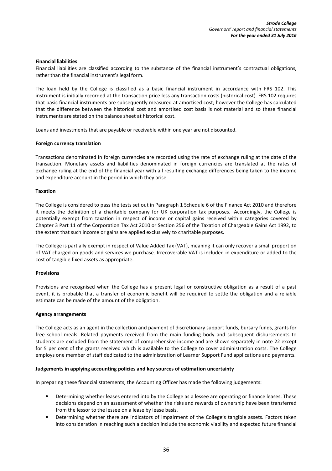### Financial liabilities

Financial liabilities are classified according to the substance of the financial instrument's contractual obligations, rather than the financial instrument's legal form.

The loan held by the College is classified as a basic financial instrument in accordance with FRS 102. This instrument is initially recorded at the transaction price less any transaction costs (historical cost). FRS 102 requires that basic financial instruments are subsequently measured at amortised cost; however the College has calculated that the difference between the historical cost and amortised cost basis is not material and so these financial instruments are stated on the balance sheet at historical cost.

Loans and investments that are payable or receivable within one year are not discounted.

### Foreign currency translation

Transactions denominated in foreign currencies are recorded using the rate of exchange ruling at the date of the transaction. Monetary assets and liabilities denominated in foreign currencies are translated at the rates of exchange ruling at the end of the financial year with all resulting exchange differences being taken to the income and expenditure account in the period in which they arise.

### Taxation

The College is considered to pass the tests set out in Paragraph 1 Schedule 6 of the Finance Act 2010 and therefore it meets the definition of a charitable company for UK corporation tax purposes. Accordingly, the College is potentially exempt from taxation in respect of income or capital gains received within categories covered by Chapter 3 Part 11 of the Corporation Tax Act 2010 or Section 256 of the Taxation of Chargeable Gains Act 1992, to the extent that such income or gains are applied exclusively to charitable purposes.

The College is partially exempt in respect of Value Added Tax (VAT), meaning it can only recover a small proportion of VAT charged on goods and services we purchase. Irrecoverable VAT is included in expenditure or added to the cost of tangible fixed assets as appropriate.

### Provisions

Provisions are recognised when the College has a present legal or constructive obligation as a result of a past event, it is probable that a transfer of economic benefit will be required to settle the obligation and a reliable estimate can be made of the amount of the obligation.

### Agency arrangements

The College acts as an agent in the collection and payment of discretionary support funds, bursary funds, grants for free school meals. Related payments received from the main funding body and subsequent disbursements to students are excluded from the statement of comprehensive income and are shown separately in note 22 except for 5 per cent of the grants received which is available to the College to cover administration costs. The College employs one member of staff dedicated to the administration of Learner Support Fund applications and payments.

### Judgements in applying accounting policies and key sources of estimation uncertainty

In preparing these financial statements, the Accounting Officer has made the following judgements:

- Determining whether leases entered into by the College as a lessee are operating or finance leases. These decisions depend on an assessment of whether the risks and rewards of ownership have been transferred from the lessor to the lessee on a lease by lease basis.
- Determining whether there are indicators of impairment of the College's tangible assets. Factors taken into consideration in reaching such a decision include the economic viability and expected future financial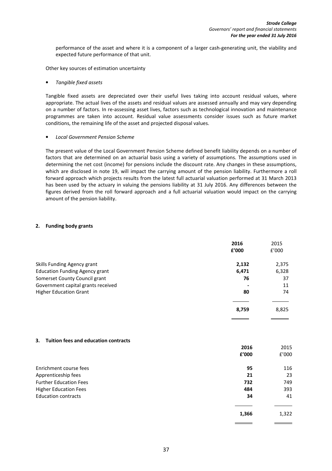performance of the asset and where it is a component of a larger cash-generating unit, the viability and expected future performance of that unit.

Other key sources of estimation uncertainty

### • Tangible fixed assets

Tangible fixed assets are depreciated over their useful lives taking into account residual values, where appropriate. The actual lives of the assets and residual values are assessed annually and may vary depending on a number of factors. In re-assessing asset lives, factors such as technological innovation and maintenance programmes are taken into account. Residual value assessments consider issues such as future market conditions, the remaining life of the asset and projected disposal values.

### • Local Government Pension Scheme

The present value of the Local Government Pension Scheme defined benefit liability depends on a number of factors that are determined on an actuarial basis using a variety of assumptions. The assumptions used in determining the net cost (income) for pensions include the discount rate. Any changes in these assumptions, which are disclosed in note 19, will impact the carrying amount of the pension liability. Furthermore a roll forward approach which projects results from the latest full actuarial valuation performed at 31 March 2013 has been used by the actuary in valuing the pensions liability at 31 July 2016. Any differences between the figures derived from the roll forward approach and a full actuarial valuation would impact on the carrying amount of the pension liability.

### 2. Funding body grants

|                                       | 2016<br>£'000 | 2015<br>f'000 |
|---------------------------------------|---------------|---------------|
| Skills Funding Agency grant           | 2,132         | 2,375         |
| <b>Education Funding Agency grant</b> | 6,471         | 6,328         |
| Somerset County Council grant         | 76            | 37            |
| Government capital grants received    |               | 11            |
| <b>Higher Education Grant</b>         | 80            | 74            |
|                                       |               |               |
|                                       | 8,759         | 8,825         |

### 3. Tuition fees and education contracts

| 2016  | 2015  |
|-------|-------|
| £'000 | £'000 |
| 95    | 116   |
| 21    | 23    |
| 732   | 749   |
| 484   | 393   |
| 34    | 41    |
| 1,366 | 1,322 |
|       |       |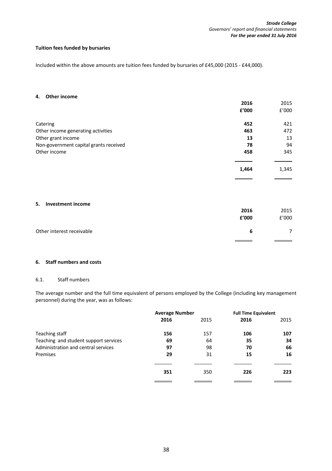## Tuition fees funded by bursaries

Included within the above amounts are tuition fees funded by bursaries of £45,000 (2015 - £44,000).

### 4. Other income

|                                        | 2016  | 2015  |
|----------------------------------------|-------|-------|
|                                        | £'000 | £'000 |
| Catering                               | 452   | 421   |
| Other income generating activities     | 463   | 472   |
| Other grant income                     | 13    | 13    |
| Non-government capital grants received | 78    | 94    |
| Other income                           | 458   | 345   |
|                                        | 1,464 | 1,345 |
|                                        |       |       |
| <b>Investment income</b><br>5.         | 2016  | 2015  |
|                                        |       |       |

|                           | 2016  | 2015  |
|---------------------------|-------|-------|
|                           | f'000 | f'000 |
| Other interest receivable | 6     |       |
|                           |       |       |

### 6. Staff numbers and costs

## 6.1. Staff numbers

The average number and the full time equivalent of persons employed by the College (including key management personnel) during the year, was as follows:

|                                       | <b>Average Number</b> |      | <b>Full Time Equivalent</b> |      |
|---------------------------------------|-----------------------|------|-----------------------------|------|
|                                       | 2016                  | 2015 | 2016                        | 2015 |
| Teaching staff                        | 156                   | 157  | 106                         | 107  |
| Teaching and student support services | 69                    | 64   | 35                          | 34   |
| Administration and central services   | 97                    | 98   | 70                          | 66   |
| Premises                              | 29                    | 31   | 15                          | 16   |
|                                       |                       |      |                             |      |
|                                       | 351                   | 350  | 226                         | 223  |
|                                       |                       |      |                             |      |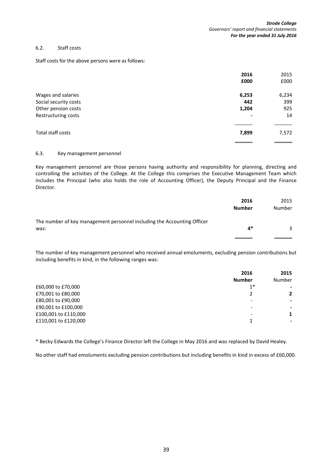## 6.2. Staff costs

Staff costs for the above persons were as follows:

|                       | 2016                     | 2015  |
|-----------------------|--------------------------|-------|
|                       | £000                     | £000  |
| Wages and salaries    | 6,253                    | 6,234 |
| Social security costs | 442                      | 399   |
| Other pension costs   | 1,204                    | 925   |
| Restructuring costs   | $\overline{\phantom{0}}$ | 14    |
| Total staff costs     | 7,899                    | 7,572 |
|                       |                          |       |

### 6.3. Key management personnel

Key management personnel are those persons having authority and responsibility for planning, directing and controlling the activities of the College. At the College this comprises the Executive Management Team which includes the Principal (who also holds the role of Accounting Officer), the Deputy Principal and the Finance Director.

|                                                                                 | 2016<br><b>Number</b> | 2015<br>Number |
|---------------------------------------------------------------------------------|-----------------------|----------------|
| The number of key management personnel including the Accounting Officer<br>was: | 4*                    |                |
|                                                                                 |                       |                |

The number of key management personnel who received annual emoluments, excluding pension contributions but including benefits in kind, in the following ranges was:

|                      | 2016                     | 2015   |
|----------------------|--------------------------|--------|
|                      | <b>Number</b>            | Number |
| £60,000 to £70,000   | $1^*$                    |        |
| £70,001 to £80,000   |                          |        |
| £80,001 to £90,000   | $\overline{\phantom{0}}$ |        |
| £90,001 to £100,000  | -                        |        |
| £100,001 to £110,000 | -                        |        |
| £110,001 to £120,000 | 1                        |        |
|                      |                          |        |

\* Becky Edwards the College's Finance Director left the College in May 2016 and was replaced by David Healey.

No other staff had emoluments excluding pension contributions but including benefits in kind in excess of £60,000.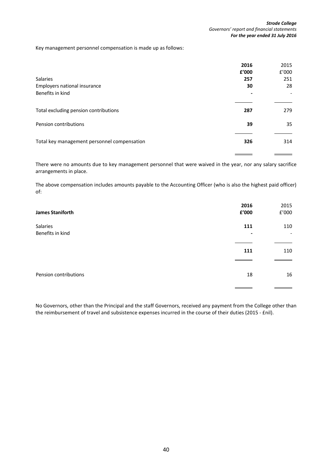Key management personnel compensation is made up as follows:

| <b>Salaries</b>                                  | 2016<br>£'000<br>257 | 2015<br>E'000<br>251 |
|--------------------------------------------------|----------------------|----------------------|
| Employers national insurance<br>Benefits in kind | 30                   | 28                   |
| Total excluding pension contributions            | 287                  | 279                  |
| Pension contributions                            | 39                   | 35                   |
| Total key management personnel compensation      | 326                  | 314                  |

There were no amounts due to key management personnel that were waived in the year, nor any salary sacrifice arrangements in place.

The above compensation includes amounts payable to the Accounting Officer (who is also the highest paid officer) of:

| <b>James Staniforth</b>      | 2016<br>£'000 | 2015<br>f'000 |
|------------------------------|---------------|---------------|
| Salaries<br>Benefits in kind | 111<br>-      | 110           |
|                              | 111           | 110           |
| Pension contributions        | 18            | 16            |
|                              |               |               |

No Governors, other than the Principal and the staff Governors, received any payment from the College other than the reimbursement of travel and subsistence expenses incurred in the course of their duties (2015 - £nil).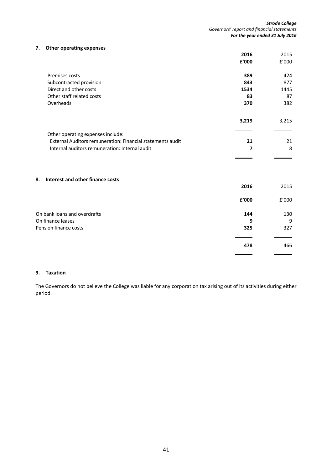## 7. Other operating expenses

|                                                            | 2016  | 2015  |
|------------------------------------------------------------|-------|-------|
|                                                            | £'000 | f'000 |
| Premises costs                                             | 389   | 424   |
| Subcontracted provision                                    | 843   | 877   |
| Direct and other costs                                     | 1534  | 1445  |
| Other staff related costs                                  | 83    | 87    |
| Overheads                                                  | 370   | 382   |
|                                                            | 3,219 | 3,215 |
| Other operating expenses include:                          |       |       |
| External Auditors remuneration: Financial statements audit | 21    | 21    |
| Internal auditors remuneration: Internal audit             | 7     | 8     |
|                                                            |       |       |
| 8.<br>Interest and other finance costs                     |       |       |
|                                                            | 2016  | 2015  |
|                                                            | £'000 | E'000 |
| On bank loans and overdrafts                               | 144   | 130   |
| On finance leases                                          | 9     | 9     |
| Pension finance costs                                      | 325   | 327   |
|                                                            | 478   | 466   |
|                                                            |       |       |

## 9. Taxation

The Governors do not believe the College was liable for any corporation tax arising out of its activities during either period.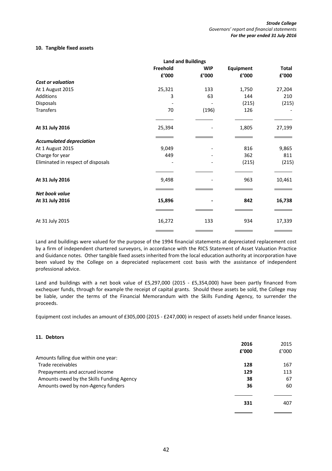### 10. Tangible fixed assets

|                                    | <b>Land and Buildings</b> |                        |                                |                        |
|------------------------------------|---------------------------|------------------------|--------------------------------|------------------------|
|                                    | Freehold                  | <b>WIP</b>             | <b>Equipment</b>               | <b>Total</b>           |
|                                    | ${\bf f}^{\prime}$ 000    | ${\bf f}^{\prime}$ 000 | $\boldsymbol{\mathsf{f}}'$ 000 | ${\bf f}^{\prime}$ 000 |
| <b>Cost or valuation</b>           |                           |                        |                                |                        |
| At 1 August 2015                   | 25,321                    | 133                    | 1,750                          | 27,204                 |
| Additions                          | 3                         | 63                     | 144                            | 210                    |
| Disposals                          |                           |                        | (215)                          | (215)                  |
| <b>Transfers</b>                   | 70                        | (196)                  | 126                            |                        |
| At 31 July 2016                    | 25,394                    |                        | 1,805                          | 27,199                 |
| <b>Accumulated depreciation</b>    |                           |                        |                                |                        |
| At 1 August 2015                   | 9,049                     |                        | 816                            | 9,865                  |
| Charge for year                    | 449                       |                        | 362                            | 811                    |
| Eliminated in respect of disposals |                           |                        | (215)                          | (215)                  |
| At 31 July 2016                    | 9,498                     |                        | 963                            | 10,461                 |
| Net book value                     |                           |                        |                                |                        |
| At 31 July 2016                    | 15,896                    |                        | 842                            | 16,738                 |
|                                    |                           |                        |                                |                        |
| At 31 July 2015                    | 16,272                    | 133                    | 934                            | 17,339                 |

Land and buildings were valued for the purpose of the 1994 financial statements at depreciated replacement cost by a firm of independent chartered surveyors, in accordance with the RICS Statement of Asset Valuation Practice and Guidance notes. Other tangible fixed assets inherited from the local education authority at incorporation have been valued by the College on a depreciated replacement cost basis with the assistance of independent professional advice.

Land and buildings with a net book value of £5,297,000 (2015 - £5,354,000) have been partly financed from exchequer funds, through for example the receipt of capital grants. Should these assets be sold, the College may be liable, under the terms of the Financial Memorandum with the Skills Funding Agency, to surrender the proceeds.

Equipment cost includes an amount of £305,000 (2015 - £247,000) in respect of assets held under finance leases.

### 11. Debtors

|                                           | 2016  | 2015  |
|-------------------------------------------|-------|-------|
|                                           | £'000 | f'000 |
| Amounts falling due within one year:      |       |       |
| Trade receivables                         | 128   | 167   |
| Prepayments and accrued income            | 129   | 113   |
| Amounts owed by the Skills Funding Agency | 38    | 67    |
| Amounts owed by non-Agency funders        | 36    | 60    |
|                                           | 331   | 407   |
|                                           |       |       |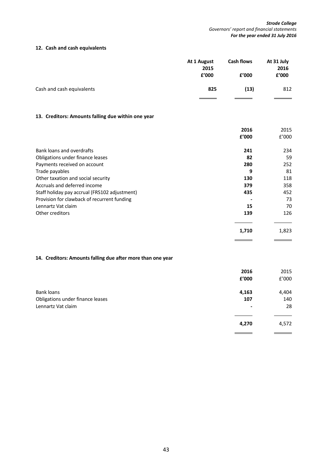## 12. Cash and cash equivalents

|                           | At 1 August<br>2015<br>£'000 | <b>Cash flows</b><br>f'000 | At 31 July<br>2016<br>£'000 |
|---------------------------|------------------------------|----------------------------|-----------------------------|
| Cash and cash equivalents | 825                          | (13)                       | 812                         |
|                           |                              |                            |                             |

## 13. Creditors: Amounts falling due within one year

| 2016                                                 | 2015  |
|------------------------------------------------------|-------|
| £'000                                                | f'000 |
| Bank loans and overdrafts<br>241                     | 234   |
| Obligations under finance leases<br>82               | 59    |
| Payments received on account<br>280                  | 252   |
| Trade payables<br>9                                  | 81    |
| Other taxation and social security<br>130            | 118   |
| Accruals and deferred income<br>379                  | 358   |
| Staff holiday pay accrual (FRS102 adjustment)<br>435 | 452   |
| Provision for clawback of recurrent funding          | 73    |
| Lennartz Vat claim<br>15                             | 70    |
| Other creditors<br>139                               | 126   |
| 1,710                                                | 1,823 |

## 14. Creditors: Amounts falling due after more than one year

|                                  | 2016<br>£'000            | 2015<br>E'000 |
|----------------------------------|--------------------------|---------------|
| Bank loans                       | 4,163                    | 4,404         |
| Obligations under finance leases | 107                      | 140           |
| Lennartz Vat claim               | $\overline{\phantom{a}}$ | 28            |
|                                  |                          |               |
|                                  | 4,270                    | 4,572         |
|                                  |                          |               |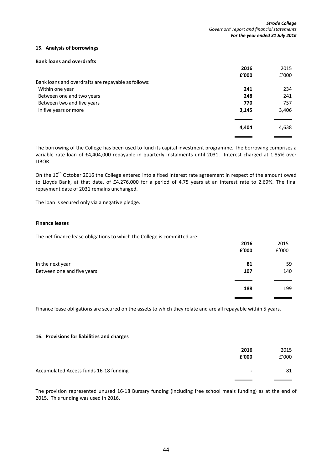### 15. Analysis of borrowings

### Bank loans and overdrafts

|                                                     | 2016  | 2015  |
|-----------------------------------------------------|-------|-------|
|                                                     | £'000 | f'000 |
| Bank loans and overdrafts are repayable as follows: |       |       |
| Within one year                                     | 241   | 234   |
| Between one and two years                           | 248   | 241   |
| Between two and five years                          | 770   | 757   |
| In five years or more                               | 3,145 | 3,406 |
|                                                     |       |       |
|                                                     | 4,404 | 4,638 |

The borrowing of the College has been used to fund its capital investment programme. The borrowing comprises a variable rate loan of £4,404,000 repayable in quarterly instalments until 2031. Interest charged at 1.85% over LIBOR.

On the 10<sup>th</sup> October 2016 the College entered into a fixed interest rate agreement in respect of the amount owed to Lloyds Bank, at that date, of £4,276,000 for a period of 4.75 years at an interest rate to 2.69%. The final repayment date of 2031 remains unchanged.

The loan is secured only via a negative pledge.

### Finance leases

The net finance lease obligations to which the College is committed are:

|                            | 2016  | 2015  |
|----------------------------|-------|-------|
|                            | £'000 | £'000 |
| In the next year           | 81    | 59    |
| Between one and five years | 107   | 140   |
|                            |       |       |
|                            | 188   | 199   |
|                            |       |       |

Finance lease obligations are secured on the assets to which they relate and are all repayable within 5 years.

### 16. Provisions for liabilities and charges

|                                        | 2016<br>f'000            | 2015<br>f'000 |
|----------------------------------------|--------------------------|---------------|
| Accumulated Access funds 16-18 funding | $\overline{\phantom{a}}$ | 81            |
|                                        |                          |               |

The provision represented unused 16-18 Bursary funding (including free school meals funding) as at the end of 2015. This funding was used in 2016.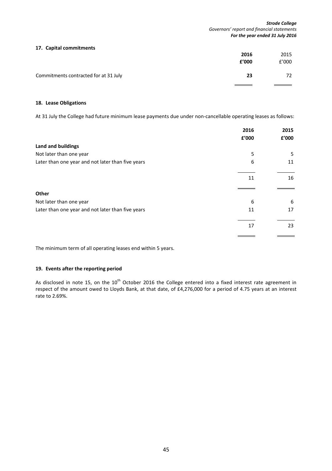### 17. Capital commitments

|                                       | 2016<br>f'000 | 2015<br>f'000 |
|---------------------------------------|---------------|---------------|
| Commitments contracted for at 31 July | 23            | 72            |

### 18. Lease Obligations

At 31 July the College had future minimum lease payments due under non-cancellable operating leases as follows:

|                                                   | 2016  | 2015  |
|---------------------------------------------------|-------|-------|
|                                                   | £'000 | £'000 |
| Land and buildings                                |       |       |
| Not later than one year                           | 5     | 5     |
| Later than one year and not later than five years | 6     | 11    |
|                                                   | 11    | 16    |
|                                                   |       |       |
| Other                                             |       |       |
| Not later than one year                           | 6     | 6     |
| Later than one year and not later than five years | 11    | 17    |
|                                                   | 17    | 23    |
|                                                   |       |       |

The minimum term of all operating leases end within 5 years.

### 19. Events after the reporting period

As disclosed in note 15, on the 10<sup>th</sup> October 2016 the College entered into a fixed interest rate agreement in respect of the amount owed to Lloyds Bank, at that date, of £4,276,000 for a period of 4.75 years at an interest rate to 2.69%.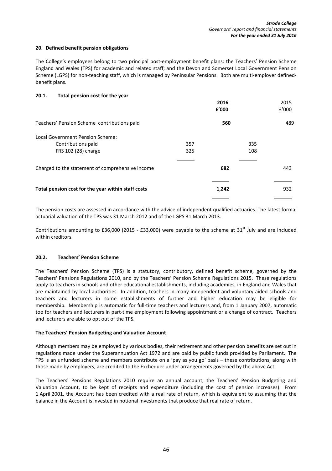### 20. Defined benefit pension obligations

The College's employees belong to two principal post-employment benefit plans: the Teachers' Pension Scheme England and Wales (TPS) for academic and related staff; and the Devon and Somerset Local Government Pension Scheme (LGPS) for non-teaching staff, which is managed by Peninsular Pensions. Both are multi-employer definedbenefit plans.

### 20.1. Total pension cost for the year

|                                                    |     | 2016<br>£'000 |     | 2015<br>f'000 |
|----------------------------------------------------|-----|---------------|-----|---------------|
| Teachers' Pension Scheme contributions paid        |     | 560           |     | 489           |
| Local Government Pension Scheme:                   |     |               |     |               |
| Contributions paid                                 | 357 |               | 335 |               |
| FRS 102 (28) charge                                | 325 |               | 108 |               |
| Charged to the statement of comprehensive income   |     | 682           |     | 443           |
| Total pension cost for the year within staff costs |     | 1,242         |     | 932           |
|                                                    |     |               |     |               |

The pension costs are assessed in accordance with the advice of independent qualified actuaries. The latest formal actuarial valuation of the TPS was 31 March 2012 and of the LGPS 31 March 2013.

Contributions amounting to £36,000 (2015 - £33,000) were payable to the scheme at 31<sup>st</sup> July and are included within creditors.

### 20.2. Teachers' Pension Scheme

The Teachers' Pension Scheme (TPS) is a statutory, contributory, defined benefit scheme, governed by the Teachers' Pensions Regulations 2010, and by the Teachers' Pension Scheme Regulations 2015. These regulations apply to teachers in schools and other educational establishments, including academies, in England and Wales that are maintained by local authorities. In addition, teachers in many independent and voluntary-aided schools and teachers and lecturers in some establishments of further and higher education may be eligible for membership. Membership is automatic for full-time teachers and lecturers and, from 1 January 2007, automatic too for teachers and lecturers in part-time employment following appointment or a change of contract. Teachers and lecturers are able to opt out of the TPS.

### The Teachers' Pension Budgeting and Valuation Account

Although members may be employed by various bodies, their retirement and other pension benefits are set out in regulations made under the Superannuation Act 1972 and are paid by public funds provided by Parliament. The TPS is an unfunded scheme and members contribute on a 'pay as you go' basis – these contributions, along with those made by employers, are credited to the Exchequer under arrangements governed by the above Act.

The Teachers' Pensions Regulations 2010 require an annual account, the Teachers' Pension Budgeting and Valuation Account, to be kept of receipts and expenditure (including the cost of pension increases). From 1 April 2001, the Account has been credited with a real rate of return, which is equivalent to assuming that the balance in the Account is invested in notional investments that produce that real rate of return.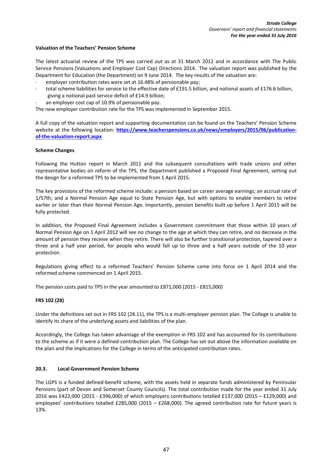### Valuation of the Teachers' Pension Scheme

The latest actuarial review of the TPS was carried out as at 31 March 2012 and in accordance with The Public Service Pensions (Valuations and Employer Cost Cap) Directions 2014. The valuation report was published by the Department for Education (the Department) on 9 June 2014. The key results of the valuation are:

- employer contribution rates were set at 16.48% of pensionable pay;
- total scheme liabilities for service to the effective date of £191.5 billion, and notional assets of £176.6 billion, giving a notional past service deficit of £14.9 billion;
- an employer cost cap of 10.9% of pensionable pay.

The new employer contribution rate for the TPS was implemented in September 2015.

A full copy of the valuation report and supporting documentation can be found on the Teachers' Pension Scheme website at the following location: https://www.teacherspensions.co.uk/news/employers/2015/06/publicationof-the-valuation-report.aspx

### Scheme Changes

Following the Hutton report in March 2011 and the subsequent consultations with trade unions and other representative bodies on reform of the TPS, the Department published a Proposed Final Agreement, setting out the design for a reformed TPS to be implemented from 1 April 2015.

The key provisions of the reformed scheme include: a pension based on career average earnings; an accrual rate of 1/57th; and a Normal Pension Age equal to State Pension Age, but with options to enable members to retire earlier or later than their Normal Pension Age. Importantly, pension benefits built up before 1 April 2015 will be fully protected.

In addition, the Proposed Final Agreement includes a Government commitment that those within 10 years of Normal Pension Age on 1 April 2012 will see no change to the age at which they can retire, and no decrease in the amount of pension they receive when they retire. There will also be further transitional protection, tapered over a three and a half year period, for people who would fall up to three and a half years outside of the 10 year protection.

Regulations giving effect to a reformed Teachers' Pension Scheme came into force on 1 April 2014 and the reformed scheme commenced on 1 April 2015.

The pension costs paid to TPS in the year amounted to £871,000 (2015 - £815,000)

### FRS 102 (28)

Under the definitions set out in FRS 102 (28.11), the TPS is a multi-employer pension plan. The College is unable to identify its share of the underlying assets and liabilities of the plan.

Accordingly, the College has taken advantage of the exemption in FRS 102 and has accounted for its contributions to the scheme as if it were a defined-contribution plan. The College has set out above the information available on the plan and the implications for the College in terms of the anticipated contribution rates.

### 20.3. Local Government Pension Scheme

The LGPS is a funded defined-benefit scheme, with the assets held in separate funds administered by Peninsular Pensions (part of Devon and Somerset County Councils). The total contribution made for the year ended 31 July 2016 was £422,000 (2015 - £396,000) of which employers contributions totalled £137,000 (2015 – £129,000) and employees' contributions totalled £285,000 (2015 – £268,000). The agreed contribution rate for future years is 13%.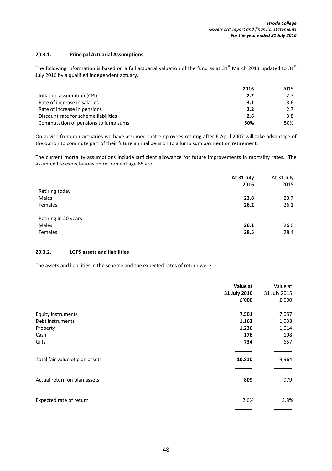## 20.3.1. Principal Actuarial Assumptions

The following information is based on a full actuarial valuation of the fund as at 31<sup>st</sup> March 2013 updated to 31<sup>st</sup> July 2016 by a qualified independent actuary.

|                                      | 2016 | 2015 |
|--------------------------------------|------|------|
| Inflation assumption (CPI)           | 2.2  | 2.7  |
| Rate of increase in salaries         | 3.1  | 3.6  |
| Rate of increase in pensions         | 2.2  | 2.7  |
| Discount rate for scheme liabilities | 2.6  | 3.8  |
| Commutation of pensions to lump sums | 50%  | 50%  |

On advice from our actuaries we have assumed that employees retiring after 6 April 2007 will take advantage of the option to commute part of their future annual pension to a lump sum payment on retirement.

The current mortality assumptions include sufficient allowance for future improvements in mortality rates. The assumed life expectations on retirement age 65 are:

|                      | At 31 July<br>2016 | At 31 July<br>2015 |
|----------------------|--------------------|--------------------|
| Retiring today       |                    |                    |
| Males                | 23.8               | 23.7               |
| Females              | 26.2               | 26.1               |
| Retiring in 20 years |                    |                    |
| Males                | 26.1               | 26.0               |
| Females              | 28.5               | 28.4               |

## 20.3.2. LGPS assets and liabilities

The assets and liabilities in the scheme and the expected rates of return were:

|                                 | Value at     | Value at     |
|---------------------------------|--------------|--------------|
|                                 | 31 July 2016 | 31 July 2015 |
|                                 | £'000        | f'000        |
| Equity instruments              | 7,501        | 7,057        |
| Debt instruments                | 1,163        | 1,038        |
| Property                        | 1,236        | 1,014        |
| Cash                            | 176          | 198          |
| Gilts                           | 734          | 657          |
| Total fair value of plan assets | 10,810       | 9,964        |
| Actual return on plan assets    | 809          | 979          |
| Expected rate of return         | 2.6%         | 3.8%         |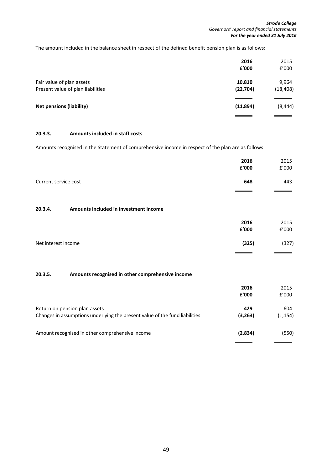The amount included in the balance sheet in respect of the defined benefit pension plan is as follows:

|                                                                | 2016<br>£'000       | 2015<br>f'000      |
|----------------------------------------------------------------|---------------------|--------------------|
| Fair value of plan assets<br>Present value of plan liabilities | 10,810<br>(22, 704) | 9,964<br>(18, 408) |
| <b>Net pensions (liability)</b>                                | (11,894)            | (8, 444)           |

## 20.3.3. Amounts included in staff costs

Amounts recognised in the Statement of comprehensive income in respect of the plan are as follows:

|                                                                                                              | 2016<br>£'000   | 2015<br>f'000   |
|--------------------------------------------------------------------------------------------------------------|-----------------|-----------------|
| Current service cost                                                                                         | 648             | 443             |
| 20.3.4.<br>Amounts included in investment income                                                             |                 |                 |
|                                                                                                              | 2016<br>£'000   | 2015<br>£'000   |
| Net interest income                                                                                          | (325)           | (327)           |
| 20.3.5.<br>Amounts recognised in other comprehensive income                                                  |                 |                 |
|                                                                                                              | 2016<br>£'000   | 2015<br>f'000   |
| Return on pension plan assets<br>Changes in assumptions underlying the present value of the fund liabilities | 429<br>(3, 263) | 604<br>(1, 154) |
| Amount recognised in other comprehensive income                                                              | (2,834)         | (550)           |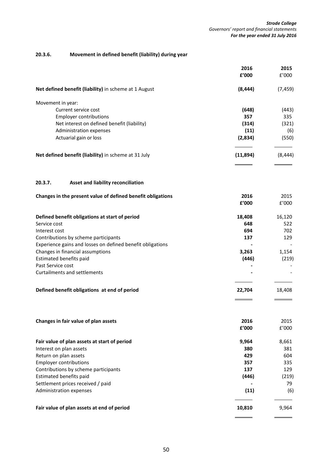$\equiv$ 

## 20.3.6. Movement in defined benefit (liability) during year

|                                                             | 2016<br>£'000 | 2015<br>E'000 |
|-------------------------------------------------------------|---------------|---------------|
| Net defined benefit (liability) in scheme at 1 August       | (8, 444)      | (7, 459)      |
| Movement in year:                                           |               |               |
| Current service cost                                        | (648)         | (443)         |
| <b>Employer contributions</b>                               | 357           | 335           |
| Net interest on defined benefit (liability)                 | (314)         | (321)         |
| Administration expenses                                     | (11)          | (6)           |
| Actuarial gain or loss                                      | (2,834)       | (550)         |
| Net defined benefit (liability) in scheme at 31 July        | (11, 894)     | (8, 444)      |
| 20.3.7.<br>Asset and liability reconciliation               |               |               |
| Changes in the present value of defined benefit obligations | 2016          | 2015          |
|                                                             | £'000         | f'000         |
|                                                             |               |               |
| Defined benefit obligations at start of period              | 18,408        | 16,120        |
| Service cost                                                | 648           | 522           |
| Interest cost                                               | 694           | 702           |
| Contributions by scheme participants                        | 137           | 129           |
| Experience gains and losses on defined benefit obligations  |               |               |
| Changes in financial assumptions                            | 3,263         | 1,154         |
| Estimated benefits paid                                     | (446)         | (219)         |
| Past Service cost                                           |               |               |
| Curtailments and settlements                                |               |               |
| Defined benefit obligations at end of period                | 22,704        | 18,408        |
|                                                             | 2016          | 2015          |
| Changes in fair value of plan assets                        | £'000         | f'000         |
|                                                             |               |               |
| Fair value of plan assets at start of period                | 9,964         | 8,661         |
| Interest on plan assets                                     | 380           | 381           |
| Return on plan assets                                       | 429           | 604           |
| <b>Employer contributions</b>                               | 357           | 335           |
| Contributions by scheme participants                        | 137           | 129           |
| Estimated benefits paid                                     | (446)         | (219)         |
| Settlement prices received / paid                           |               | 79            |
| Administration expenses                                     | (11)          | (6)           |
| Fair value of plan assets at end of period                  | 10,810        | 9,964         |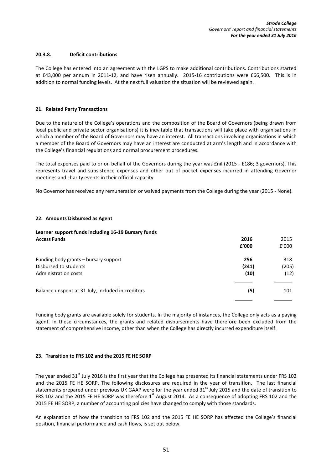$\overline{a}$ 

### 20.3.8. Deficit contributions

The College has entered into an agreement with the LGPS to make additional contributions. Contributions started at £43,000 per annum in 2011-12, and have risen annually. 2015-16 contributions were £66,500. This is in addition to normal funding levels. At the next full valuation the situation will be reviewed again.

### 21. Related Party Transactions

Due to the nature of the College's operations and the composition of the Board of Governors (being drawn from local public and private sector organisations) it is inevitable that transactions will take place with organisations in which a member of the Board of Governors may have an interest. All transactions involving organisations in which a member of the Board of Governors may have an interest are conducted at arm's length and in accordance with the College's financial regulations and normal procurement procedures.

The total expenses paid to or on behalf of the Governors during the year was £nil (2015 - £186; 3 governors). This represents travel and subsistence expenses and other out of pocket expenses incurred in attending Governor meetings and charity events in their official capacity.

No Governor has received any remuneration or waived payments from the College during the year (2015 - None).

### 22. Amounts Disbursed as Agent

| Learner support funds including 16-19 Bursary funds |                 |                      |
|-----------------------------------------------------|-----------------|----------------------|
| <b>Access Funds</b>                                 | 2016            | 2015                 |
|                                                     | f'000           | f'000                |
| Funding body grants – bursary support               | 256             | 318                  |
| Disbursed to students                               | (241)           | (205)                |
| <b>Administration costs</b>                         | (10)            | (12)                 |
|                                                     |                 |                      |
| $\sim$ $\sim$<br>.                                  | $\cdot$ $\cdot$ | $\sim$ $\sim$ $\sim$ |

Balance unspent at 31 July, included in creditors (5) 101

Funding body grants are available solely for students. In the majority of instances, the College only acts as a paying agent. In these circumstances, the grants and related disbursements have therefore been excluded from the statement of comprehensive income, other than when the College has directly incurred expenditure itself.

### 23. Transition to FRS 102 and the 2015 FE HE SORP

The year ended  $31<sup>st</sup>$  July 2016 is the first year that the College has presented its financial statements under FRS 102 and the 2015 FE HE SORP. The following disclosures are required in the year of transition. The last financial statements prepared under previous UK GAAP were for the year ended 31<sup>st</sup> July 2015 and the date of transition to FRS 102 and the 2015 FE HE SORP was therefore 1<sup>st</sup> August 2014. As a consequence of adopting FRS 102 and the 2015 FE HE SORP, a number of accounting policies have changed to comply with those standards.

An explanation of how the transition to FRS 102 and the 2015 FE HE SORP has affected the College's financial position, financial performance and cash flows, is set out below.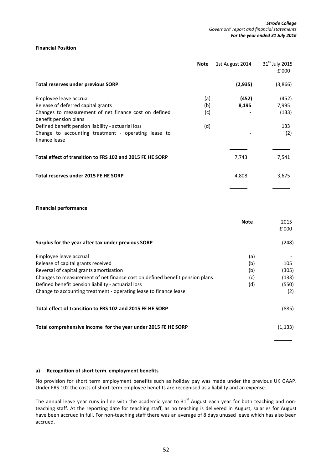$\overline{a}$ 

## Financial Position

|                                                                                | <b>Note</b> | 1st August 2014 | 31 <sup>st</sup> July 2015<br>f'000 |
|--------------------------------------------------------------------------------|-------------|-----------------|-------------------------------------|
| <b>Total reserves under previous SORP</b>                                      |             | (2,935)         | (3,866)                             |
| Employee leave accrual                                                         | (a)         | (452)           | (452)                               |
| Release of deferred capital grants                                             | (b)         | 8,195           | 7,995                               |
| Changes to measurement of net finance cost on defined<br>benefit pension plans | (c)         |                 | (133)                               |
| Defined benefit pension liability - actuarial loss                             | (d)         |                 | 133                                 |
| Change to accounting treatment - operating lease to<br>finance lease           |             |                 | (2)                                 |
| Total effect of transition to FRS 102 and 2015 FE HE SORP                      |             | 7,743           | 7,541                               |
| Total reserves under 2015 FE HE SORP                                           |             | 4,808           | 3,675                               |
|                                                                                |             |                 |                                     |

### Financial performance

|                                                                                                                                                                                                                                                                                                                   | <b>Note</b>                     | 2015<br>f'000                         |
|-------------------------------------------------------------------------------------------------------------------------------------------------------------------------------------------------------------------------------------------------------------------------------------------------------------------|---------------------------------|---------------------------------------|
| Surplus for the year after tax under previous SORP                                                                                                                                                                                                                                                                |                                 | (248)                                 |
| Employee leave accrual<br>Release of capital grants received<br>Reversal of capital grants amortisation<br>Changes to measurement of net finance cost on defined benefit pension plans<br>Defined benefit pension liability - actuarial loss<br>Change to accounting treatment - operating lease to finance lease | (a)<br>(b)<br>(b)<br>(c)<br>(d) | 105<br>(305)<br>(133)<br>(550)<br>(2) |
| Total effect of transition to FRS 102 and 2015 FE HE SORP                                                                                                                                                                                                                                                         |                                 | (885)                                 |
| Total comprehensive income for the year under 2015 FE HE SORP                                                                                                                                                                                                                                                     |                                 | (1, 133)                              |

### a) Recognition of short term employment benefits

No provision for short term employment benefits such as holiday pay was made under the previous UK GAAP. Under FRS 102 the costs of short-term employee benefits are recognised as a liability and an expense.

The annual leave year runs in line with the academic year to  $31<sup>st</sup>$  August each year for both teaching and nonteaching staff. At the reporting date for teaching staff, as no teaching is delivered in August, salaries for August have been accrued in full. For non-teaching staff there was an average of 8 days unused leave which has also been accrued.